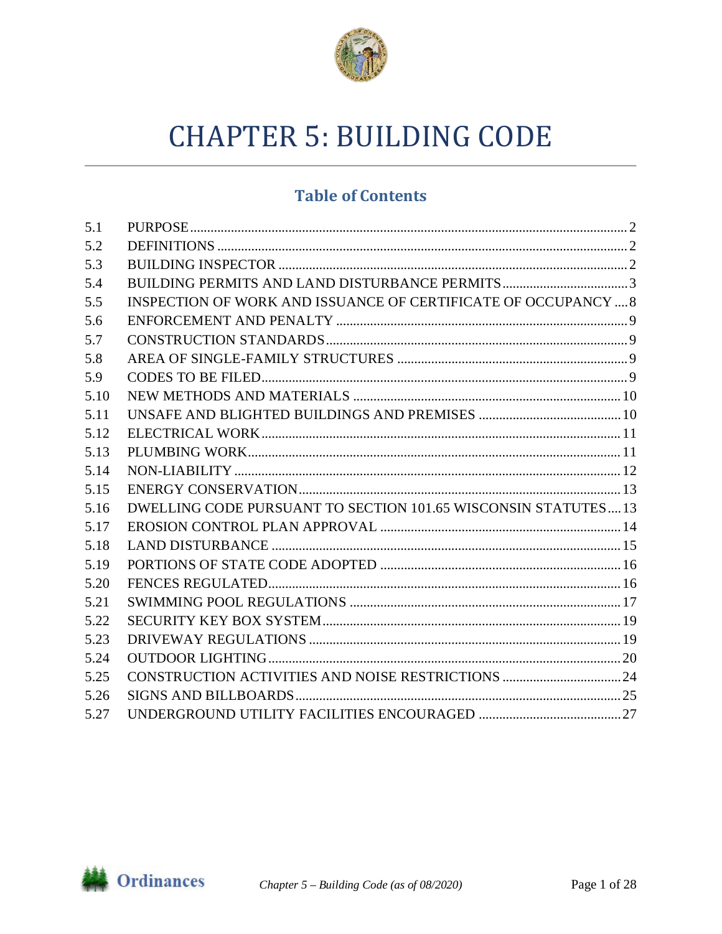

# **CHAPTER 5: BUILDING CODE**

# **Table of Contents**

| 5.1  |                                                                |  |
|------|----------------------------------------------------------------|--|
| 5.2  |                                                                |  |
| 5.3  |                                                                |  |
| 5.4  |                                                                |  |
| 5.5  | INSPECTION OF WORK AND ISSUANCE OF CERTIFICATE OF OCCUPANCY  8 |  |
| 5.6  |                                                                |  |
| 5.7  |                                                                |  |
| 5.8  |                                                                |  |
| 5.9  |                                                                |  |
| 5.10 |                                                                |  |
| 5.11 |                                                                |  |
| 5.12 |                                                                |  |
| 5.13 |                                                                |  |
| 5.14 |                                                                |  |
| 5.15 |                                                                |  |
| 5.16 | DWELLING CODE PURSUANT TO SECTION 101.65 WISCONSIN STATUTES13  |  |
| 5.17 |                                                                |  |
| 5.18 |                                                                |  |
| 5.19 |                                                                |  |
| 5.20 |                                                                |  |
| 5.21 |                                                                |  |
| 5.22 |                                                                |  |
| 5.23 |                                                                |  |
| 5.24 |                                                                |  |
| 5.25 |                                                                |  |
| 5.26 |                                                                |  |
| 5.27 |                                                                |  |

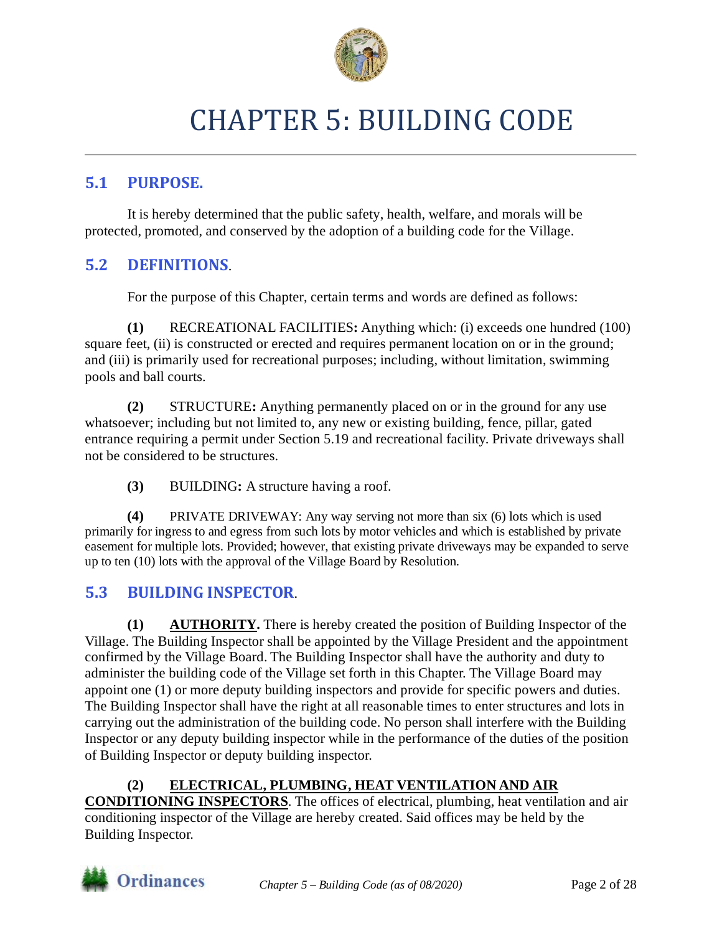

# CHAPTER 5: BUILDING CODE

## <span id="page-1-0"></span>**5.1 PURPOSE.**

It is hereby determined that the public safety, health, welfare, and morals will be protected, promoted, and conserved by the adoption of a building code for the Village.

## <span id="page-1-1"></span>**5.2 DEFINITIONS**.

For the purpose of this Chapter, certain terms and words are defined as follows:

**(1)** RECREATIONAL FACILITIES**:** Anything which: (i) exceeds one hundred (100) square feet, (ii) is constructed or erected and requires permanent location on or in the ground; and (iii) is primarily used for recreational purposes; including, without limitation, swimming pools and ball courts.

**(2)** STRUCTURE**:** Anything permanently placed on or in the ground for any use whatsoever; including but not limited to, any new or existing building, fence, pillar, gated entrance requiring a permit under Section 5.19 and recreational facility. Private driveways shall not be considered to be structures.

**(3)** BUILDING**:** A structure having a roof.

**(4)** PRIVATE DRIVEWAY: Any way serving not more than six (6) lots which is used primarily for ingress to and egress from such lots by motor vehicles and which is established by private easement for multiple lots. Provided; however, that existing private driveways may be expanded to serve up to ten (10) lots with the approval of the Village Board by Resolution.

# <span id="page-1-2"></span>**5.3 BUILDING INSPECTOR**.

**(1) AUTHORITY.** There is hereby created the position of Building Inspector of the Village. The Building Inspector shall be appointed by the Village President and the appointment confirmed by the Village Board. The Building Inspector shall have the authority and duty to administer the building code of the Village set forth in this Chapter. The Village Board may appoint one (1) or more deputy building inspectors and provide for specific powers and duties. The Building Inspector shall have the right at all reasonable times to enter structures and lots in carrying out the administration of the building code. No person shall interfere with the Building Inspector or any deputy building inspector while in the performance of the duties of the position of Building Inspector or deputy building inspector.

**(2) ELECTRICAL, PLUMBING, HEAT VENTILATION AND AIR CONDITIONING INSPECTORS**. The offices of electrical, plumbing, heat ventilation and air conditioning inspector of the Village are hereby created. Said offices may be held by the Building Inspector.

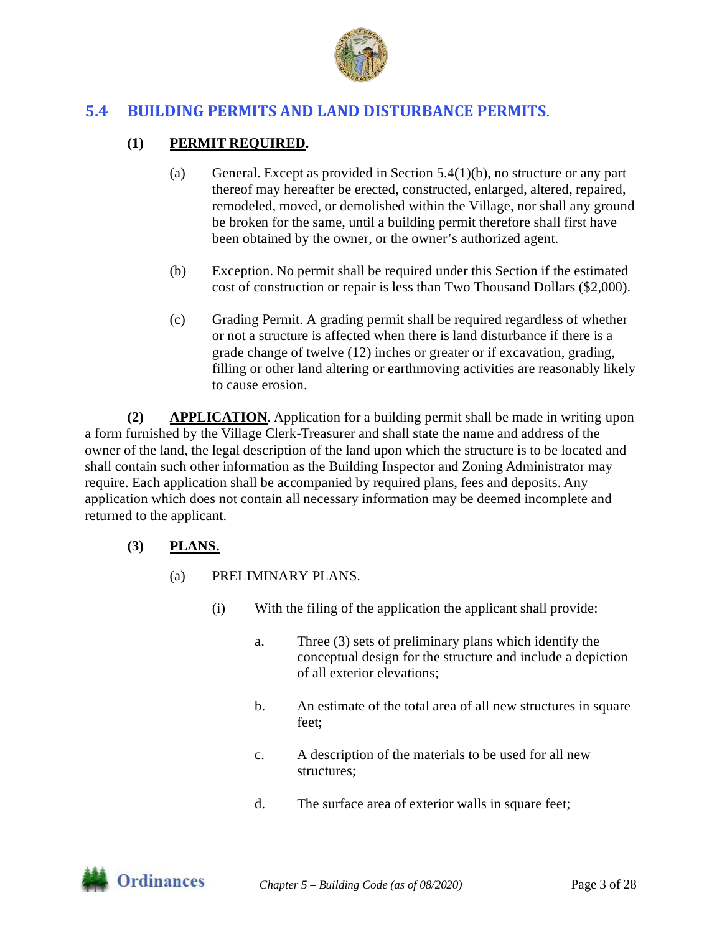

## <span id="page-2-0"></span>**5.4 BUILDING PERMITS AND LAND DISTURBANCE PERMITS**.

#### **(1) PERMIT REQUIRED.**

- (a) General. Except as provided in Section 5.4(1)(b), no structure or any part thereof may hereafter be erected, constructed, enlarged, altered, repaired, remodeled, moved, or demolished within the Village, nor shall any ground be broken for the same, until a building permit therefore shall first have been obtained by the owner, or the owner's authorized agent.
- (b) Exception. No permit shall be required under this Section if the estimated cost of construction or repair is less than Two Thousand Dollars (\$2,000).
- (c) Grading Permit. A grading permit shall be required regardless of whether or not a structure is affected when there is land disturbance if there is a grade change of twelve (12) inches or greater or if excavation, grading, filling or other land altering or earthmoving activities are reasonably likely to cause erosion.

**(2) APPLICATION**. Application for a building permit shall be made in writing upon a form furnished by the Village Clerk-Treasurer and shall state the name and address of the owner of the land, the legal description of the land upon which the structure is to be located and shall contain such other information as the Building Inspector and Zoning Administrator may require. Each application shall be accompanied by required plans, fees and deposits. Any application which does not contain all necessary information may be deemed incomplete and returned to the applicant.

#### **(3) PLANS.**

- (a) PRELIMINARY PLANS.
	- (i) With the filing of the application the applicant shall provide:
		- a. Three (3) sets of preliminary plans which identify the conceptual design for the structure and include a depiction of all exterior elevations;
		- b. An estimate of the total area of all new structures in square feet;
		- c. A description of the materials to be used for all new structures;
		- d. The surface area of exterior walls in square feet;

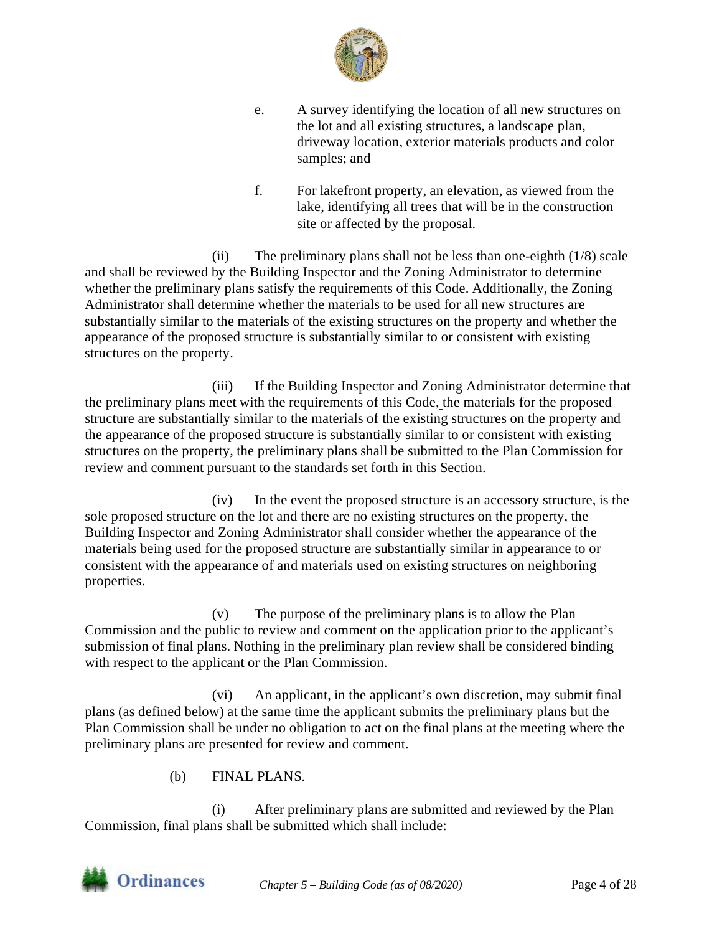

- e. A survey identifying the location of all new structures on the lot and all existing structures, a landscape plan, driveway location, exterior materials products and color samples; and
- f. For lakefront property, an elevation, as viewed from the lake, identifying all trees that will be in the construction site or affected by the proposal.

(ii) The preliminary plans shall not be less than one-eighth (1/8) scale and shall be reviewed by the Building Inspector and the Zoning Administrator to determine whether the preliminary plans satisfy the requirements of this Code. Additionally, the Zoning Administrator shall determine whether the materials to be used for all new structures are substantially similar to the materials of the existing structures on the property and whether the appearance of the proposed structure is substantially similar to or consistent with existing structures on the property.

(iii) If the Building Inspector and Zoning Administrator determine that the preliminary plans meet with the requirements of this Code, the materials for the proposed structure are substantially similar to the materials of the existing structures on the property and the appearance of the proposed structure is substantially similar to or consistent with existing structures on the property, the preliminary plans shall be submitted to the Plan Commission for review and comment pursuant to the standards set forth in this Section.

(iv) In the event the proposed structure is an accessory structure, is the sole proposed structure on the lot and there are no existing structures on the property, the Building Inspector and Zoning Administrator shall consider whether the appearance of the materials being used for the proposed structure are substantially similar in appearance to or consistent with the appearance of and materials used on existing structures on neighboring properties.

(v) The purpose of the preliminary plans is to allow the Plan Commission and the public to review and comment on the application prior to the applicant's submission of final plans. Nothing in the preliminary plan review shall be considered binding with respect to the applicant or the Plan Commission.

(vi) An applicant, in the applicant's own discretion, may submit final plans (as defined below) at the same time the applicant submits the preliminary plans but the Plan Commission shall be under no obligation to act on the final plans at the meeting where the preliminary plans are presented for review and comment.

(b) FINAL PLANS.

(i) After preliminary plans are submitted and reviewed by the Plan Commission, final plans shall be submitted which shall include:

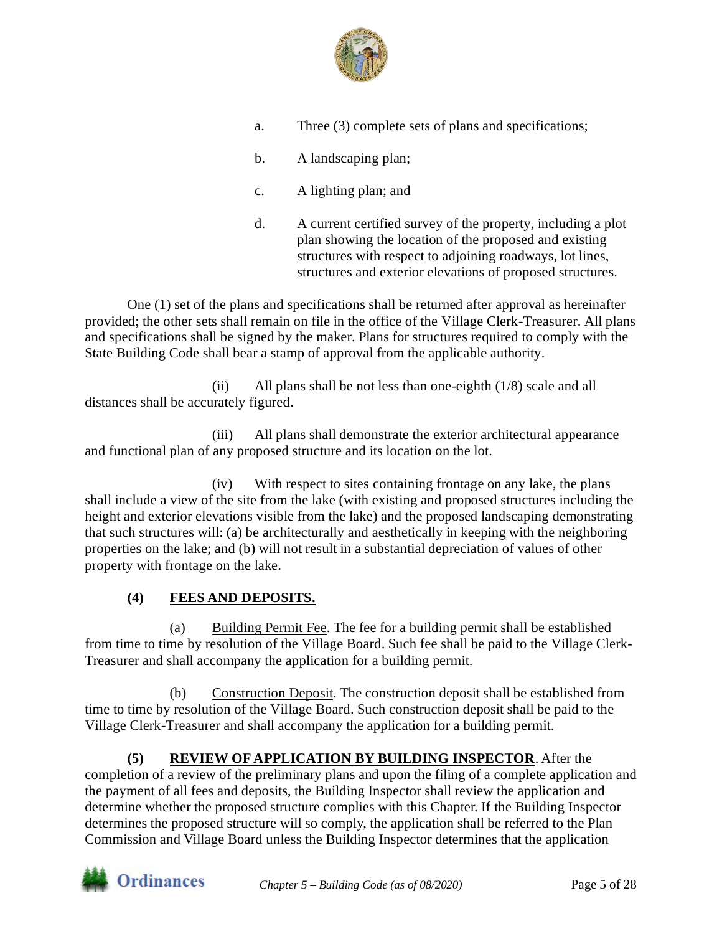

- a. Three (3) complete sets of plans and specifications;
- b. A landscaping plan;
- c. A lighting plan; and
- d. A current certified survey of the property, including a plot plan showing the location of the proposed and existing structures with respect to adjoining roadways, lot lines, structures and exterior elevations of proposed structures.

One (1) set of the plans and specifications shall be returned after approval as hereinafter provided; the other sets shall remain on file in the office of the Village Clerk-Treasurer. All plans and specifications shall be signed by the maker. Plans for structures required to comply with the State Building Code shall bear a stamp of approval from the applicable authority.

(ii) All plans shall be not less than one-eighth  $(1/8)$  scale and all distances shall be accurately figured.

(iii) All plans shall demonstrate the exterior architectural appearance and functional plan of any proposed structure and its location on the lot.

(iv) With respect to sites containing frontage on any lake, the plans shall include a view of the site from the lake (with existing and proposed structures including the height and exterior elevations visible from the lake) and the proposed landscaping demonstrating that such structures will: (a) be architecturally and aesthetically in keeping with the neighboring properties on the lake; and (b) will not result in a substantial depreciation of values of other property with frontage on the lake.

#### **(4) FEES AND DEPOSITS.**

(a) Building Permit Fee. The fee for a building permit shall be established from time to time by resolution of the Village Board. Such fee shall be paid to the Village Clerk-Treasurer and shall accompany the application for a building permit.

Construction Deposit. The construction deposit shall be established from time to time by resolution of the Village Board. Such construction deposit shall be paid to the Village Clerk-Treasurer and shall accompany the application for a building permit.

**(5) REVIEW OF APPLICATION BY BUILDING INSPECTOR**. After the completion of a review of the preliminary plans and upon the filing of a complete application and the payment of all fees and deposits, the Building Inspector shall review the application and determine whether the proposed structure complies with this Chapter. If the Building Inspector determines the proposed structure will so comply, the application shall be referred to the Plan Commission and Village Board unless the Building Inspector determines that the application

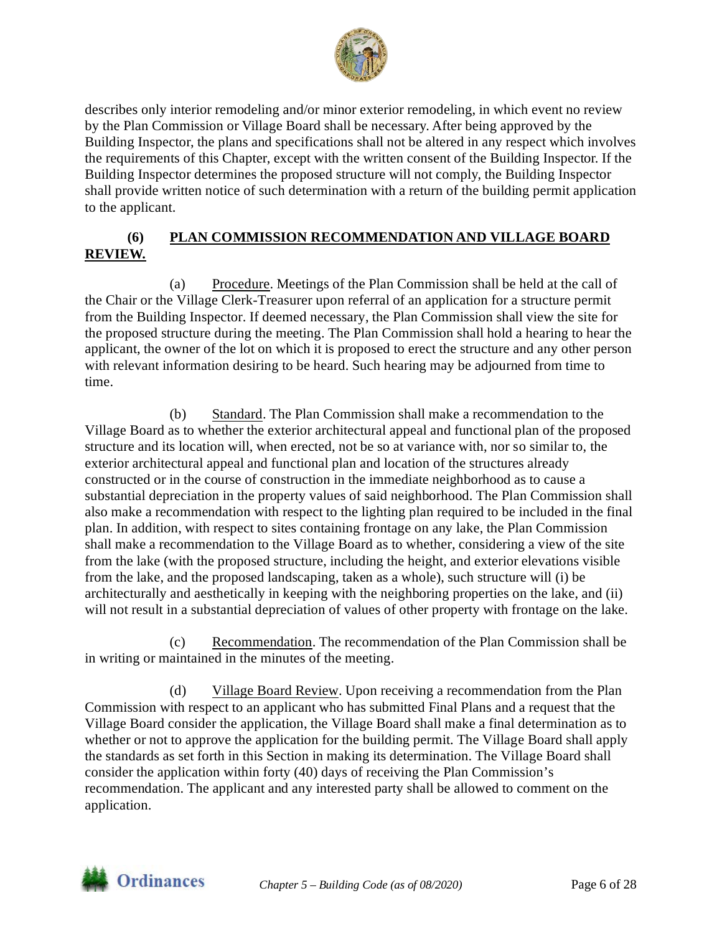

describes only interior remodeling and/or minor exterior remodeling, in which event no review by the Plan Commission or Village Board shall be necessary. After being approved by the Building Inspector, the plans and specifications shall not be altered in any respect which involves the requirements of this Chapter, except with the written consent of the Building Inspector. If the Building Inspector determines the proposed structure will not comply, the Building Inspector shall provide written notice of such determination with a return of the building permit application to the applicant.

#### **(6) PLAN COMMISSION RECOMMENDATION AND VILLAGE BOARD REVIEW.**

(a) Procedure. Meetings of the Plan Commission shall be held at the call of the Chair or the Village Clerk-Treasurer upon referral of an application for a structure permit from the Building Inspector. If deemed necessary, the Plan Commission shall view the site for the proposed structure during the meeting. The Plan Commission shall hold a hearing to hear the applicant, the owner of the lot on which it is proposed to erect the structure and any other person with relevant information desiring to be heard. Such hearing may be adjourned from time to time.

(b) Standard. The Plan Commission shall make a recommendation to the Village Board as to whether the exterior architectural appeal and functional plan of the proposed structure and its location will, when erected, not be so at variance with, nor so similar to, the exterior architectural appeal and functional plan and location of the structures already constructed or in the course of construction in the immediate neighborhood as to cause a substantial depreciation in the property values of said neighborhood. The Plan Commission shall also make a recommendation with respect to the lighting plan required to be included in the final plan. In addition, with respect to sites containing frontage on any lake, the Plan Commission shall make a recommendation to the Village Board as to whether, considering a view of the site from the lake (with the proposed structure, including the height, and exterior elevations visible from the lake, and the proposed landscaping, taken as a whole), such structure will (i) be architecturally and aesthetically in keeping with the neighboring properties on the lake, and (ii) will not result in a substantial depreciation of values of other property with frontage on the lake.

(c) Recommendation. The recommendation of the Plan Commission shall be in writing or maintained in the minutes of the meeting.

(d) Village Board Review. Upon receiving a recommendation from the Plan Commission with respect to an applicant who has submitted Final Plans and a request that the Village Board consider the application, the Village Board shall make a final determination as to whether or not to approve the application for the building permit. The Village Board shall apply the standards as set forth in this Section in making its determination. The Village Board shall consider the application within forty (40) days of receiving the Plan Commission's recommendation. The applicant and any interested party shall be allowed to comment on the application.

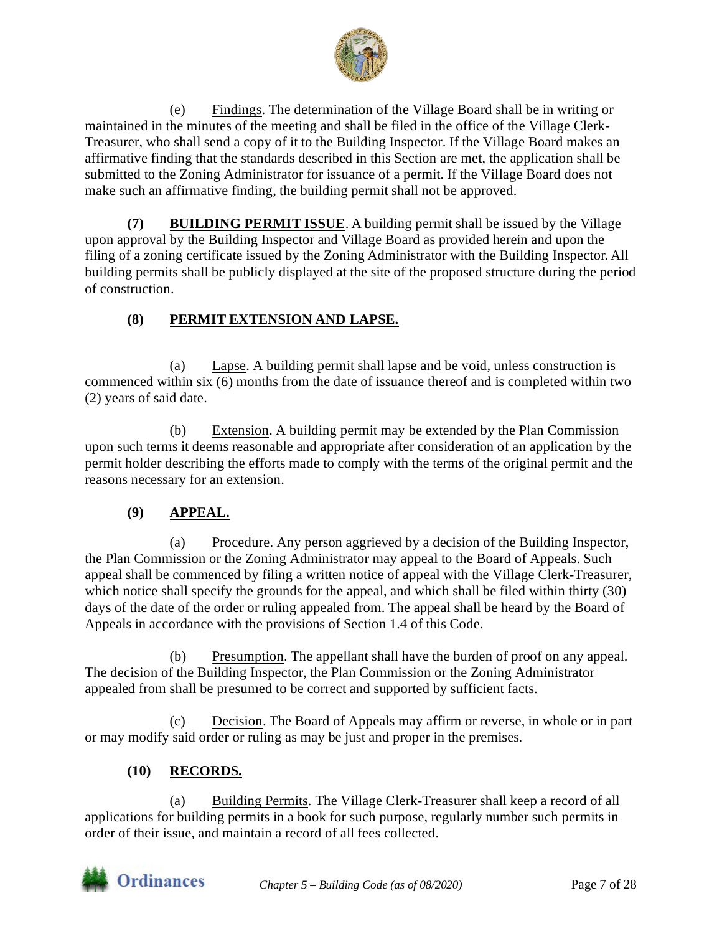

(e) Findings. The determination of the Village Board shall be in writing or maintained in the minutes of the meeting and shall be filed in the office of the Village Clerk-Treasurer, who shall send a copy of it to the Building Inspector. If the Village Board makes an affirmative finding that the standards described in this Section are met, the application shall be submitted to the Zoning Administrator for issuance of a permit. If the Village Board does not make such an affirmative finding, the building permit shall not be approved.

**(7) BUILDING PERMIT ISSUE**. A building permit shall be issued by the Village upon approval by the Building Inspector and Village Board as provided herein and upon the filing of a zoning certificate issued by the Zoning Administrator with the Building Inspector. All building permits shall be publicly displayed at the site of the proposed structure during the period of construction.

#### **(8) PERMIT EXTENSION AND LAPSE.**

(a) Lapse. A building permit shall lapse and be void, unless construction is commenced within six (6) months from the date of issuance thereof and is completed within two (2) years of said date.

(b) Extension. A building permit may be extended by the Plan Commission upon such terms it deems reasonable and appropriate after consideration of an application by the permit holder describing the efforts made to comply with the terms of the original permit and the reasons necessary for an extension.

#### **(9) APPEAL.**

(a) Procedure. Any person aggrieved by a decision of the Building Inspector, the Plan Commission or the Zoning Administrator may appeal to the Board of Appeals. Such appeal shall be commenced by filing a written notice of appeal with the Village Clerk-Treasurer, which notice shall specify the grounds for the appeal, and which shall be filed within thirty (30) days of the date of the order or ruling appealed from. The appeal shall be heard by the Board of Appeals in accordance with the provisions of Section 1.4 of this Code.

(b) Presumption. The appellant shall have the burden of proof on any appeal. The decision of the Building Inspector, the Plan Commission or the Zoning Administrator appealed from shall be presumed to be correct and supported by sufficient facts.

(c) Decision. The Board of Appeals may affirm or reverse, in whole or in part or may modify said order or ruling as may be just and proper in the premises.

#### **(10) RECORDS.**

(a) Building Permits. The Village Clerk-Treasurer shall keep a record of all applications for building permits in a book for such purpose, regularly number such permits in order of their issue, and maintain a record of all fees collected.

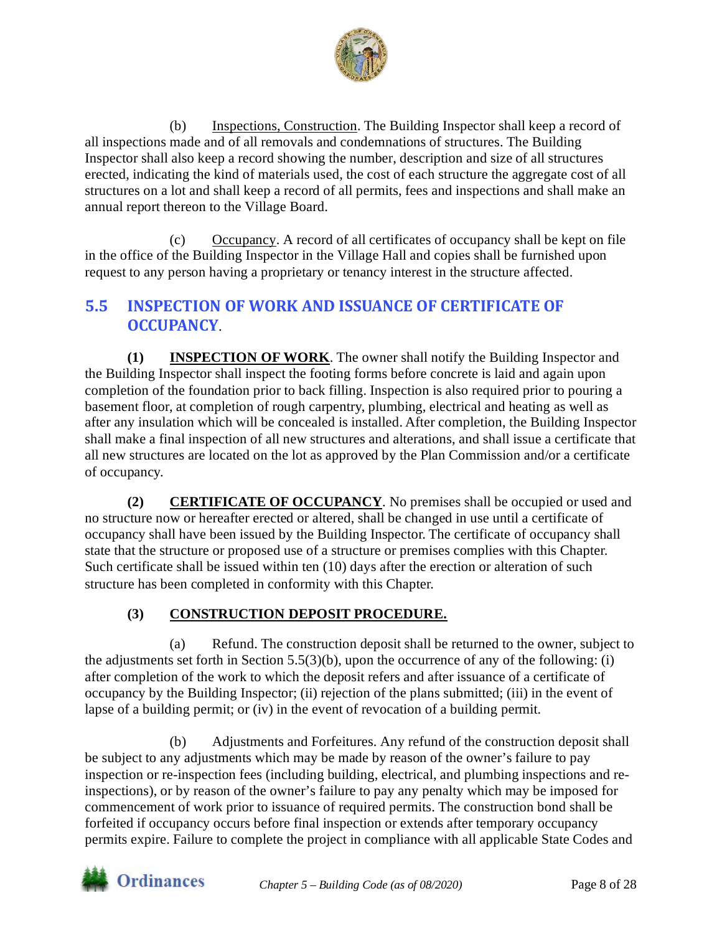

(b) Inspections, Construction. The Building Inspector shall keep a record of all inspections made and of all removals and condemnations of structures. The Building Inspector shall also keep a record showing the number, description and size of all structures erected, indicating the kind of materials used, the cost of each structure the aggregate cost of all structures on a lot and shall keep a record of all permits, fees and inspections and shall make an annual report thereon to the Village Board.

(c) Occupancy. A record of all certificates of occupancy shall be kept on file in the office of the Building Inspector in the Village Hall and copies shall be furnished upon request to any person having a proprietary or tenancy interest in the structure affected.

# <span id="page-7-0"></span>**5.5 INSPECTION OF WORK AND ISSUANCE OF CERTIFICATE OF OCCUPANCY**.

**(1) INSPECTION OF WORK**. The owner shall notify the Building Inspector and the Building Inspector shall inspect the footing forms before concrete is laid and again upon completion of the foundation prior to back filling. Inspection is also required prior to pouring a basement floor, at completion of rough carpentry, plumbing, electrical and heating as well as after any insulation which will be concealed is installed. After completion, the Building Inspector shall make a final inspection of all new structures and alterations, and shall issue a certificate that all new structures are located on the lot as approved by the Plan Commission and/or a certificate of occupancy.

**(2) CERTIFICATE OF OCCUPANCY**. No premises shall be occupied or used and no structure now or hereafter erected or altered, shall be changed in use until a certificate of occupancy shall have been issued by the Building Inspector. The certificate of occupancy shall state that the structure or proposed use of a structure or premises complies with this Chapter. Such certificate shall be issued within ten (10) days after the erection or alteration of such structure has been completed in conformity with this Chapter.

## **(3) CONSTRUCTION DEPOSIT PROCEDURE.**

(a) Refund. The construction deposit shall be returned to the owner, subject to the adjustments set forth in Section 5.5(3)(b), upon the occurrence of any of the following: (i) after completion of the work to which the deposit refers and after issuance of a certificate of occupancy by the Building Inspector; (ii) rejection of the plans submitted; (iii) in the event of lapse of a building permit; or (iv) in the event of revocation of a building permit.

(b) Adjustments and Forfeitures. Any refund of the construction deposit shall be subject to any adjustments which may be made by reason of the owner's failure to pay inspection or re-inspection fees (including building, electrical, and plumbing inspections and reinspections), or by reason of the owner's failure to pay any penalty which may be imposed for commencement of work prior to issuance of required permits. The construction bond shall be forfeited if occupancy occurs before final inspection or extends after temporary occupancy permits expire. Failure to complete the project in compliance with all applicable State Codes and

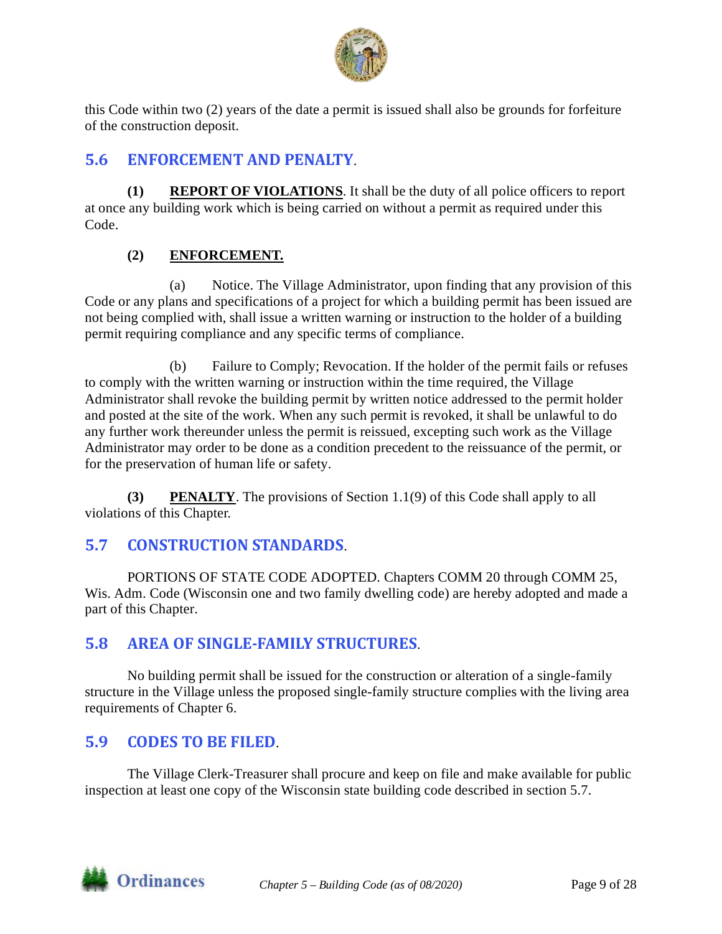

this Code within two (2) years of the date a permit is issued shall also be grounds for forfeiture of the construction deposit.

# <span id="page-8-0"></span>**5.6 ENFORCEMENT AND PENALTY**.

**(1) REPORT OF VIOLATIONS**. It shall be the duty of all police officers to report at once any building work which is being carried on without a permit as required under this Code.

#### **(2) ENFORCEMENT.**

(a) Notice. The Village Administrator, upon finding that any provision of this Code or any plans and specifications of a project for which a building permit has been issued are not being complied with, shall issue a written warning or instruction to the holder of a building permit requiring compliance and any specific terms of compliance.

(b) Failure to Comply; Revocation. If the holder of the permit fails or refuses to comply with the written warning or instruction within the time required, the Village Administrator shall revoke the building permit by written notice addressed to the permit holder and posted at the site of the work. When any such permit is revoked, it shall be unlawful to do any further work thereunder unless the permit is reissued, excepting such work as the Village Administrator may order to be done as a condition precedent to the reissuance of the permit, or for the preservation of human life or safety.

**(3) PENALTY**. The provisions of Section 1.1(9) of this Code shall apply to all violations of this Chapter.

## <span id="page-8-1"></span>**5.7 CONSTRUCTION STANDARDS**.

PORTIONS OF STATE CODE ADOPTED. Chapters COMM 20 through COMM 25, Wis. Adm. Code (Wisconsin one and two family dwelling code) are hereby adopted and made a part of this Chapter.

## <span id="page-8-2"></span>**5.8 AREA OF SINGLE-FAMILY STRUCTURES**.

No building permit shall be issued for the construction or alteration of a single-family structure in the Village unless the proposed single-family structure complies with the living area requirements of Chapter 6.

## <span id="page-8-3"></span>**5.9 CODES TO BE FILED**.

The Village Clerk-Treasurer shall procure and keep on file and make available for public inspection at least one copy of the Wisconsin state building code described in section 5.7.

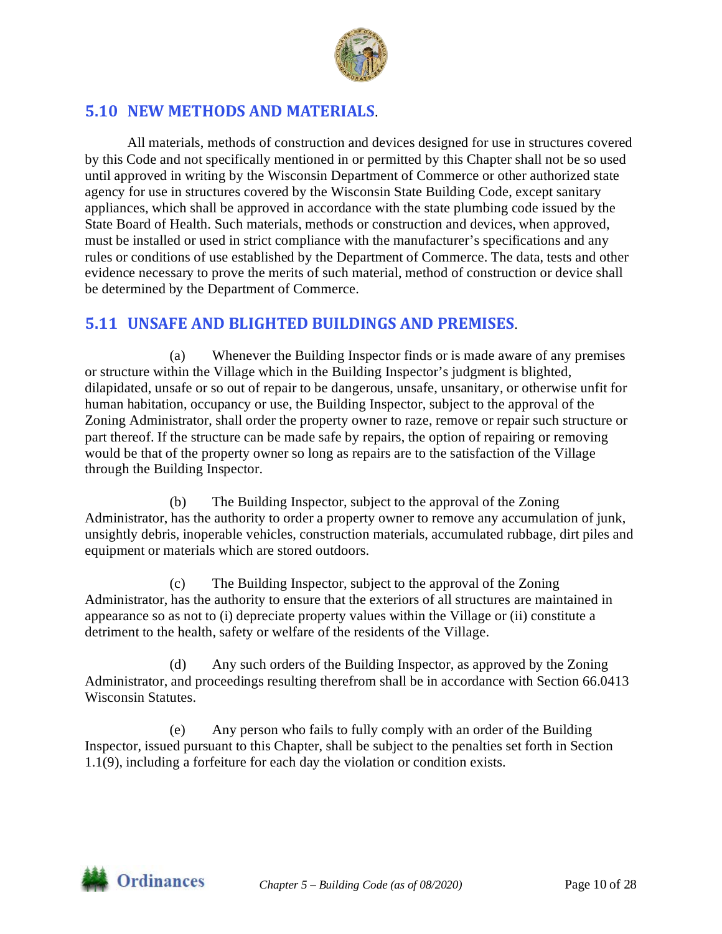

# <span id="page-9-0"></span>**5.10 NEW METHODS AND MATERIALS**.

All materials, methods of construction and devices designed for use in structures covered by this Code and not specifically mentioned in or permitted by this Chapter shall not be so used until approved in writing by the Wisconsin Department of Commerce or other authorized state agency for use in structures covered by the Wisconsin State Building Code, except sanitary appliances, which shall be approved in accordance with the state plumbing code issued by the State Board of Health. Such materials, methods or construction and devices, when approved, must be installed or used in strict compliance with the manufacturer's specifications and any rules or conditions of use established by the Department of Commerce. The data, tests and other evidence necessary to prove the merits of such material, method of construction or device shall be determined by the Department of Commerce.

## <span id="page-9-1"></span>**5.11 UNSAFE AND BLIGHTED BUILDINGS AND PREMISES**.

(a) Whenever the Building Inspector finds or is made aware of any premises or structure within the Village which in the Building Inspector's judgment is blighted, dilapidated, unsafe or so out of repair to be dangerous, unsafe, unsanitary, or otherwise unfit for human habitation, occupancy or use, the Building Inspector, subject to the approval of the Zoning Administrator, shall order the property owner to raze, remove or repair such structure or part thereof. If the structure can be made safe by repairs, the option of repairing or removing would be that of the property owner so long as repairs are to the satisfaction of the Village through the Building Inspector.

(b) The Building Inspector, subject to the approval of the Zoning Administrator, has the authority to order a property owner to remove any accumulation of junk, unsightly debris, inoperable vehicles, construction materials, accumulated rubbage, dirt piles and equipment or materials which are stored outdoors.

(c) The Building Inspector, subject to the approval of the Zoning Administrator, has the authority to ensure that the exteriors of all structures are maintained in appearance so as not to (i) depreciate property values within the Village or (ii) constitute a detriment to the health, safety or welfare of the residents of the Village.

(d) Any such orders of the Building Inspector, as approved by the Zoning Administrator, and proceedings resulting therefrom shall be in accordance with Section 66.0413 Wisconsin Statutes.

(e) Any person who fails to fully comply with an order of the Building Inspector, issued pursuant to this Chapter, shall be subject to the penalties set forth in Section 1.1(9), including a forfeiture for each day the violation or condition exists.

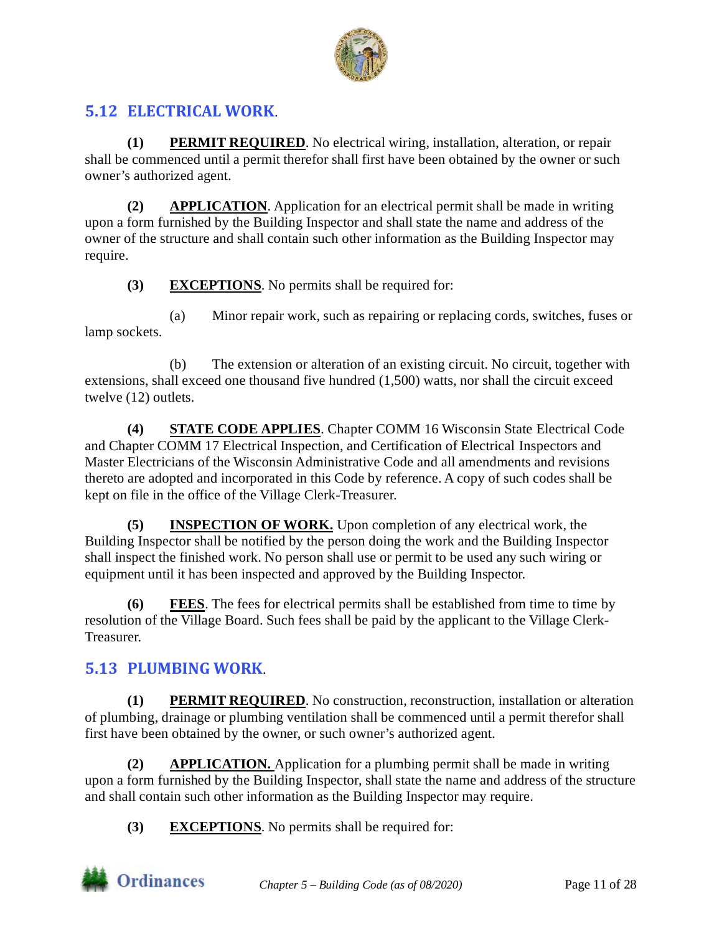

# <span id="page-10-0"></span>**5.12 ELECTRICAL WORK**.

**(1) PERMIT REQUIRED**. No electrical wiring, installation, alteration, or repair shall be commenced until a permit therefor shall first have been obtained by the owner or such owner's authorized agent.

**(2) APPLICATION**. Application for an electrical permit shall be made in writing upon a form furnished by the Building Inspector and shall state the name and address of the owner of the structure and shall contain such other information as the Building Inspector may require.

**(3) EXCEPTIONS**. No permits shall be required for:

(a) Minor repair work, such as repairing or replacing cords, switches, fuses or lamp sockets.

(b) The extension or alteration of an existing circuit. No circuit, together with extensions, shall exceed one thousand five hundred (1,500) watts, nor shall the circuit exceed twelve (12) outlets.

**(4) STATE CODE APPLIES**. Chapter COMM 16 Wisconsin State Electrical Code and Chapter COMM 17 Electrical Inspection, and Certification of Electrical Inspectors and Master Electricians of the Wisconsin Administrative Code and all amendments and revisions thereto are adopted and incorporated in this Code by reference. A copy of such codes shall be kept on file in the office of the Village Clerk-Treasurer.

**(5) INSPECTION OF WORK.** Upon completion of any electrical work, the Building Inspector shall be notified by the person doing the work and the Building Inspector shall inspect the finished work. No person shall use or permit to be used any such wiring or equipment until it has been inspected and approved by the Building Inspector.

**(6) FEES**. The fees for electrical permits shall be established from time to time by resolution of the Village Board. Such fees shall be paid by the applicant to the Village Clerk-Treasurer.

# <span id="page-10-1"></span>**5.13 PLUMBING WORK**.

**(1) PERMIT REQUIRED**. No construction, reconstruction, installation or alteration of plumbing, drainage or plumbing ventilation shall be commenced until a permit therefor shall first have been obtained by the owner, or such owner's authorized agent.

**(2) APPLICATION.** Application for a plumbing permit shall be made in writing upon a form furnished by the Building Inspector, shall state the name and address of the structure and shall contain such other information as the Building Inspector may require.

**(3) EXCEPTIONS**. No permits shall be required for:

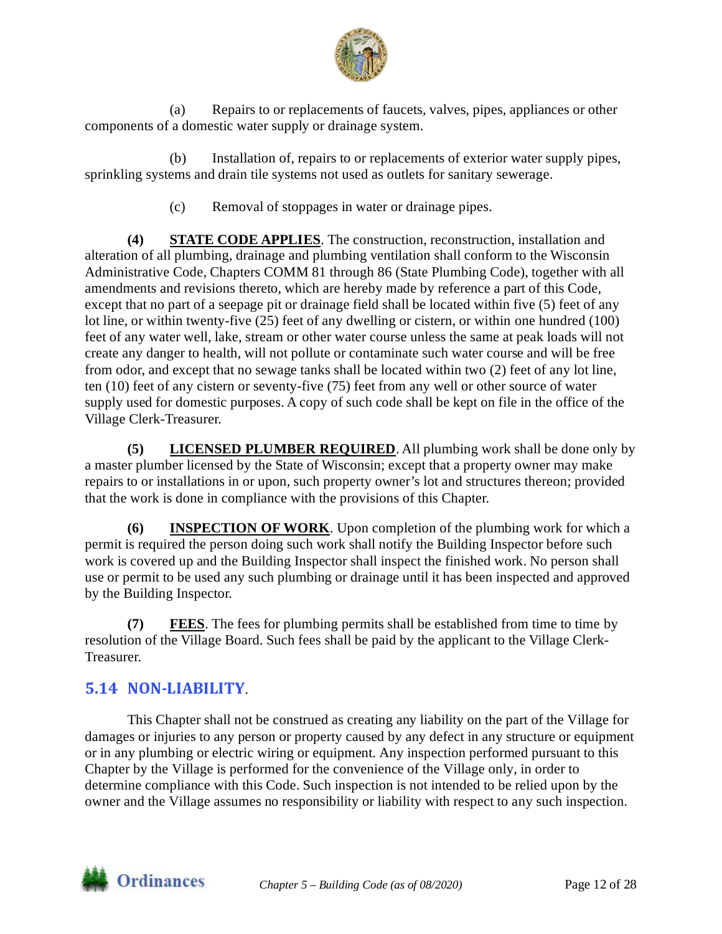

(a) Repairs to or replacements of faucets, valves, pipes, appliances or other components of a domestic water supply or drainage system.

(b) Installation of, repairs to or replacements of exterior water supply pipes, sprinkling systems and drain tile systems not used as outlets for sanitary sewerage.

(c) Removal of stoppages in water or drainage pipes.

**(4) STATE CODE APPLIES**. The construction, reconstruction, installation and alteration of all plumbing, drainage and plumbing ventilation shall conform to the Wisconsin Administrative Code, Chapters COMM 81 through 86 (State Plumbing Code), together with all amendments and revisions thereto, which are hereby made by reference a part of this Code, except that no part of a seepage pit or drainage field shall be located within five (5) feet of any lot line, or within twenty-five (25) feet of any dwelling or cistern, or within one hundred (100) feet of any water well, lake, stream or other water course unless the same at peak loads will not create any danger to health, will not pollute or contaminate such water course and will be free from odor, and except that no sewage tanks shall be located within two (2) feet of any lot line, ten (10) feet of any cistern or seventy-five (75) feet from any well or other source of water supply used for domestic purposes. A copy of such code shall be kept on file in the office of the Village Clerk-Treasurer.

**(5) LICENSED PLUMBER REQUIRED**. All plumbing work shall be done only by a master plumber licensed by the State of Wisconsin; except that a property owner may make repairs to or installations in or upon, such property owner's lot and structures thereon; provided that the work is done in compliance with the provisions of this Chapter.

**(6) INSPECTION OF WORK**. Upon completion of the plumbing work for which a permit is required the person doing such work shall notify the Building Inspector before such work is covered up and the Building Inspector shall inspect the finished work. No person shall use or permit to be used any such plumbing or drainage until it has been inspected and approved by the Building Inspector.

**(7) FEES**. The fees for plumbing permits shall be established from time to time by resolution of the Village Board. Such fees shall be paid by the applicant to the Village Clerk-Treasurer.

# <span id="page-11-0"></span>**5.14 NON-LIABILITY**.

This Chapter shall not be construed as creating any liability on the part of the Village for damages or injuries to any person or property caused by any defect in any structure or equipment or in any plumbing or electric wiring or equipment. Any inspection performed pursuant to this Chapter by the Village is performed for the convenience of the Village only, in order to determine compliance with this Code. Such inspection is not intended to be relied upon by the owner and the Village assumes no responsibility or liability with respect to any such inspection.

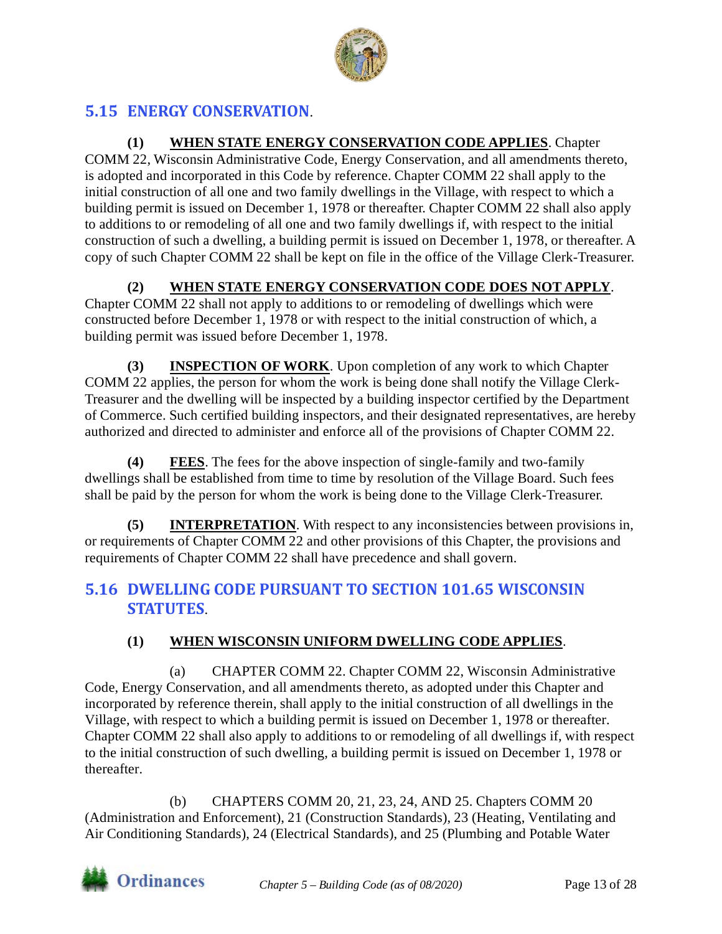

# <span id="page-12-0"></span>**5.15 ENERGY CONSERVATION**.

**(1) WHEN STATE ENERGY CONSERVATION CODE APPLIES**. Chapter COMM 22, Wisconsin Administrative Code, Energy Conservation, and all amendments thereto, is adopted and incorporated in this Code by reference. Chapter COMM 22 shall apply to the initial construction of all one and two family dwellings in the Village, with respect to which a building permit is issued on December 1, 1978 or thereafter. Chapter COMM 22 shall also apply to additions to or remodeling of all one and two family dwellings if, with respect to the initial construction of such a dwelling, a building permit is issued on December 1, 1978, or thereafter. A copy of such Chapter COMM 22 shall be kept on file in the office of the Village Clerk-Treasurer.

**(2) WHEN STATE ENERGY CONSERVATION CODE DOES NOT APPLY**.

Chapter COMM 22 shall not apply to additions to or remodeling of dwellings which were constructed before December 1, 1978 or with respect to the initial construction of which, a building permit was issued before December 1, 1978.

**(3) INSPECTION OF WORK**. Upon completion of any work to which Chapter COMM 22 applies, the person for whom the work is being done shall notify the Village Clerk-Treasurer and the dwelling will be inspected by a building inspector certified by the Department of Commerce. Such certified building inspectors, and their designated representatives, are hereby authorized and directed to administer and enforce all of the provisions of Chapter COMM 22.

**(4) FEES**. The fees for the above inspection of single-family and two-family dwellings shall be established from time to time by resolution of the Village Board. Such fees shall be paid by the person for whom the work is being done to the Village Clerk-Treasurer.

**(5) INTERPRETATION**. With respect to any inconsistencies between provisions in, or requirements of Chapter COMM 22 and other provisions of this Chapter, the provisions and requirements of Chapter COMM 22 shall have precedence and shall govern.

# <span id="page-12-1"></span>**5.16 DWELLING CODE PURSUANT TO SECTION 101.65 WISCONSIN STATUTES**.

## **(1) WHEN WISCONSIN UNIFORM DWELLING CODE APPLIES**.

(a) CHAPTER COMM 22. Chapter COMM 22, Wisconsin Administrative Code, Energy Conservation, and all amendments thereto, as adopted under this Chapter and incorporated by reference therein, shall apply to the initial construction of all dwellings in the Village, with respect to which a building permit is issued on December 1, 1978 or thereafter. Chapter COMM 22 shall also apply to additions to or remodeling of all dwellings if, with respect to the initial construction of such dwelling, a building permit is issued on December 1, 1978 or thereafter.

(b) CHAPTERS COMM 20, 21, 23, 24, AND 25. Chapters COMM 20 (Administration and Enforcement), 21 (Construction Standards), 23 (Heating, Ventilating and Air Conditioning Standards), 24 (Electrical Standards), and 25 (Plumbing and Potable Water

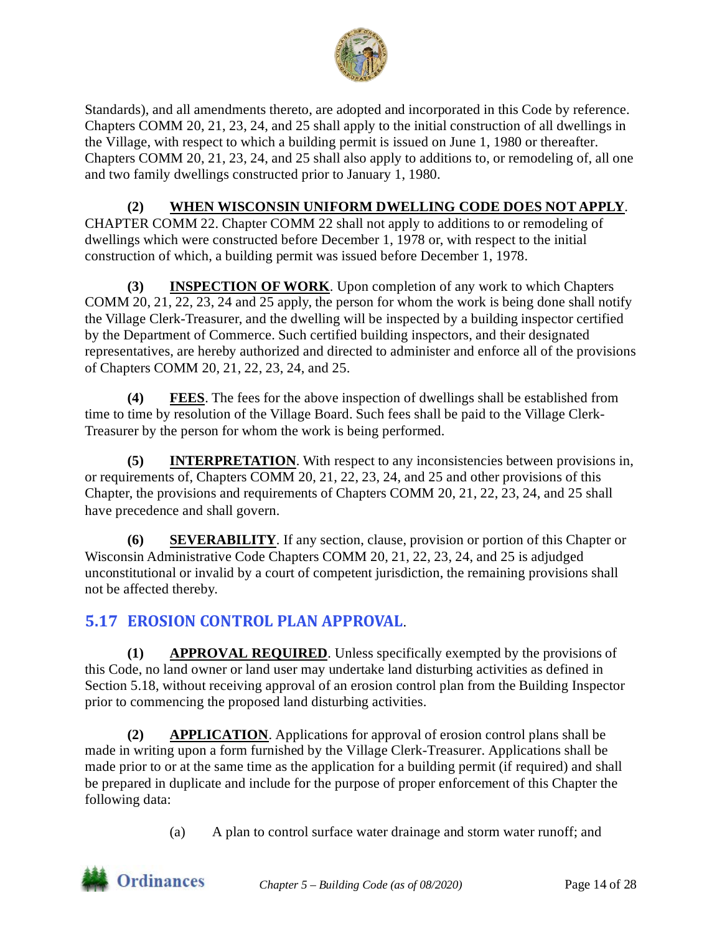

Standards), and all amendments thereto, are adopted and incorporated in this Code by reference. Chapters COMM 20, 21, 23, 24, and 25 shall apply to the initial construction of all dwellings in the Village, with respect to which a building permit is issued on June 1, 1980 or thereafter. Chapters COMM 20, 21, 23, 24, and 25 shall also apply to additions to, or remodeling of, all one and two family dwellings constructed prior to January 1, 1980.

#### **(2) WHEN WISCONSIN UNIFORM DWELLING CODE DOES NOT APPLY**.

CHAPTER COMM 22. Chapter COMM 22 shall not apply to additions to or remodeling of dwellings which were constructed before December 1, 1978 or, with respect to the initial construction of which, a building permit was issued before December 1, 1978.

**(3) INSPECTION OF WORK**. Upon completion of any work to which Chapters COMM 20, 21, 22, 23, 24 and 25 apply, the person for whom the work is being done shall notify the Village Clerk-Treasurer, and the dwelling will be inspected by a building inspector certified by the Department of Commerce. Such certified building inspectors, and their designated representatives, are hereby authorized and directed to administer and enforce all of the provisions of Chapters COMM 20, 21, 22, 23, 24, and 25.

**(4) FEES**. The fees for the above inspection of dwellings shall be established from time to time by resolution of the Village Board. Such fees shall be paid to the Village Clerk-Treasurer by the person for whom the work is being performed.

**(5) INTERPRETATION**. With respect to any inconsistencies between provisions in, or requirements of, Chapters COMM 20, 21, 22, 23, 24, and 25 and other provisions of this Chapter, the provisions and requirements of Chapters COMM 20, 21, 22, 23, 24, and 25 shall have precedence and shall govern.

**(6) SEVERABILITY**. If any section, clause, provision or portion of this Chapter or Wisconsin Administrative Code Chapters COMM 20, 21, 22, 23, 24, and 25 is adjudged unconstitutional or invalid by a court of competent jurisdiction, the remaining provisions shall not be affected thereby.

# <span id="page-13-0"></span>**5.17 EROSION CONTROL PLAN APPROVAL**.

**(1) APPROVAL REQUIRED**. Unless specifically exempted by the provisions of this Code, no land owner or land user may undertake land disturbing activities as defined in Section 5.18, without receiving approval of an erosion control plan from the Building Inspector prior to commencing the proposed land disturbing activities.

**(2) APPLICATION**. Applications for approval of erosion control plans shall be made in writing upon a form furnished by the Village Clerk-Treasurer. Applications shall be made prior to or at the same time as the application for a building permit (if required) and shall be prepared in duplicate and include for the purpose of proper enforcement of this Chapter the following data:

(a) A plan to control surface water drainage and storm water runoff; and

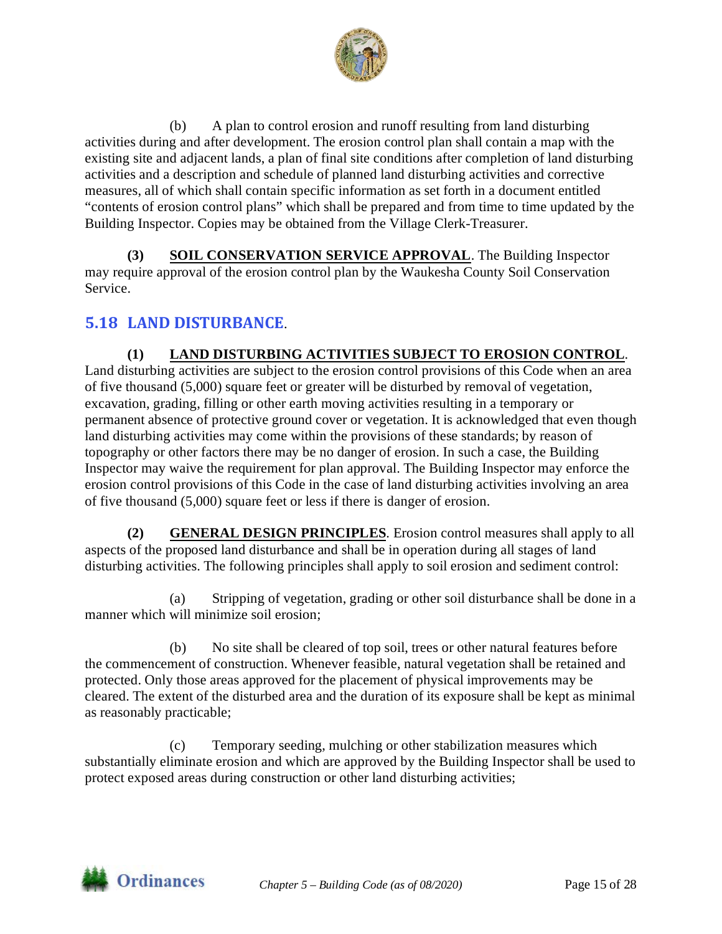

(b) A plan to control erosion and runoff resulting from land disturbing activities during and after development. The erosion control plan shall contain a map with the existing site and adjacent lands, a plan of final site conditions after completion of land disturbing activities and a description and schedule of planned land disturbing activities and corrective measures, all of which shall contain specific information as set forth in a document entitled "contents of erosion control plans" which shall be prepared and from time to time updated by the Building Inspector. Copies may be obtained from the Village Clerk-Treasurer.

**(3) SOIL CONSERVATION SERVICE APPROVAL**. The Building Inspector may require approval of the erosion control plan by the Waukesha County Soil Conservation Service.

## <span id="page-14-0"></span>**5.18 LAND DISTURBANCE**.

#### **(1) LAND DISTURBING ACTIVITIES SUBJECT TO EROSION CONTROL**.

Land disturbing activities are subject to the erosion control provisions of this Code when an area of five thousand (5,000) square feet or greater will be disturbed by removal of vegetation, excavation, grading, filling or other earth moving activities resulting in a temporary or permanent absence of protective ground cover or vegetation. It is acknowledged that even though land disturbing activities may come within the provisions of these standards; by reason of topography or other factors there may be no danger of erosion. In such a case, the Building Inspector may waive the requirement for plan approval. The Building Inspector may enforce the erosion control provisions of this Code in the case of land disturbing activities involving an area of five thousand (5,000) square feet or less if there is danger of erosion.

**(2) GENERAL DESIGN PRINCIPLES**. Erosion control measures shall apply to all aspects of the proposed land disturbance and shall be in operation during all stages of land disturbing activities. The following principles shall apply to soil erosion and sediment control:

(a) Stripping of vegetation, grading or other soil disturbance shall be done in a manner which will minimize soil erosion;

(b) No site shall be cleared of top soil, trees or other natural features before the commencement of construction. Whenever feasible, natural vegetation shall be retained and protected. Only those areas approved for the placement of physical improvements may be cleared. The extent of the disturbed area and the duration of its exposure shall be kept as minimal as reasonably practicable;

(c) Temporary seeding, mulching or other stabilization measures which substantially eliminate erosion and which are approved by the Building Inspector shall be used to protect exposed areas during construction or other land disturbing activities;

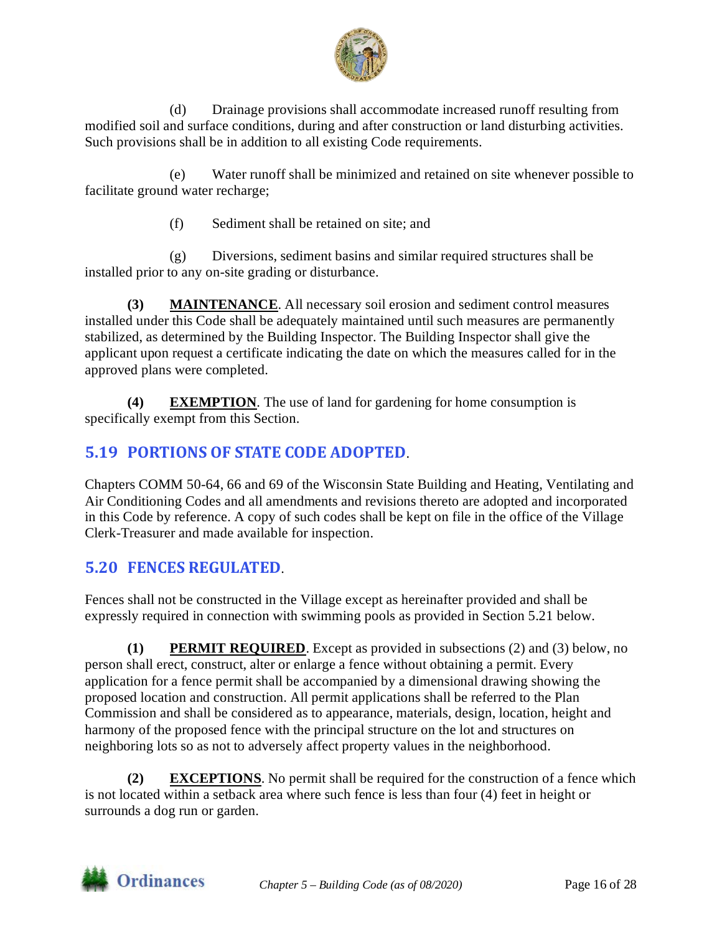

(d) Drainage provisions shall accommodate increased runoff resulting from modified soil and surface conditions, during and after construction or land disturbing activities. Such provisions shall be in addition to all existing Code requirements.

(e) Water runoff shall be minimized and retained on site whenever possible to facilitate ground water recharge;

(f) Sediment shall be retained on site; and

(g) Diversions, sediment basins and similar required structures shall be installed prior to any on-site grading or disturbance.

**(3) MAINTENANCE**. All necessary soil erosion and sediment control measures installed under this Code shall be adequately maintained until such measures are permanently stabilized, as determined by the Building Inspector. The Building Inspector shall give the applicant upon request a certificate indicating the date on which the measures called for in the approved plans were completed.

**(4) EXEMPTION**. The use of land for gardening for home consumption is specifically exempt from this Section.

# <span id="page-15-0"></span>**5.19 PORTIONS OF STATE CODE ADOPTED**.

Chapters COMM 50-64, 66 and 69 of the Wisconsin State Building and Heating, Ventilating and Air Conditioning Codes and all amendments and revisions thereto are adopted and incorporated in this Code by reference. A copy of such codes shall be kept on file in the office of the Village Clerk-Treasurer and made available for inspection.

# <span id="page-15-1"></span>**5.20 FENCES REGULATED**.

Fences shall not be constructed in the Village except as hereinafter provided and shall be expressly required in connection with swimming pools as provided in Section 5.21 below.

**(1) PERMIT REQUIRED**. Except as provided in subsections (2) and (3) below, no person shall erect, construct, alter or enlarge a fence without obtaining a permit. Every application for a fence permit shall be accompanied by a dimensional drawing showing the proposed location and construction. All permit applications shall be referred to the Plan Commission and shall be considered as to appearance, materials, design, location, height and harmony of the proposed fence with the principal structure on the lot and structures on neighboring lots so as not to adversely affect property values in the neighborhood.

**(2) EXCEPTIONS**. No permit shall be required for the construction of a fence which is not located within a setback area where such fence is less than four (4) feet in height or surrounds a dog run or garden.

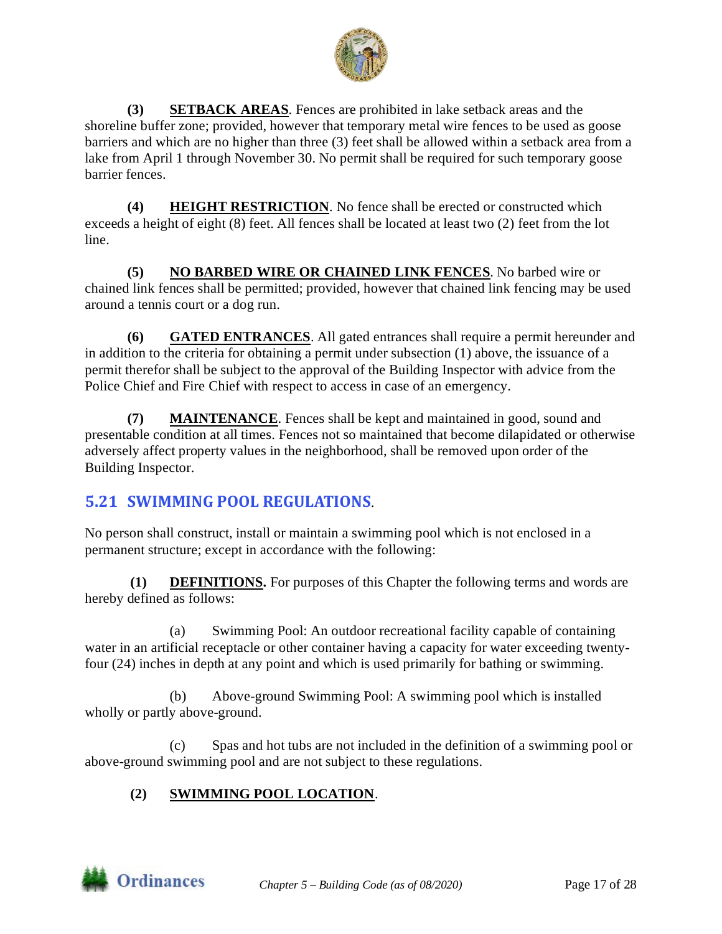

**(3) SETBACK AREAS**. Fences are prohibited in lake setback areas and the shoreline buffer zone; provided, however that temporary metal wire fences to be used as goose barriers and which are no higher than three (3) feet shall be allowed within a setback area from a lake from April 1 through November 30. No permit shall be required for such temporary goose barrier fences.

**(4) HEIGHT RESTRICTION**. No fence shall be erected or constructed which exceeds a height of eight (8) feet. All fences shall be located at least two (2) feet from the lot line.

**(5) NO BARBED WIRE OR CHAINED LINK FENCES**. No barbed wire or chained link fences shall be permitted; provided, however that chained link fencing may be used around a tennis court or a dog run.

**(6) GATED ENTRANCES**. All gated entrances shall require a permit hereunder and in addition to the criteria for obtaining a permit under subsection (1) above, the issuance of a permit therefor shall be subject to the approval of the Building Inspector with advice from the Police Chief and Fire Chief with respect to access in case of an emergency.

**(7) MAINTENANCE**. Fences shall be kept and maintained in good, sound and presentable condition at all times. Fences not so maintained that become dilapidated or otherwise adversely affect property values in the neighborhood, shall be removed upon order of the Building Inspector.

# <span id="page-16-0"></span>**5.21 SWIMMING POOL REGULATIONS**.

No person shall construct, install or maintain a swimming pool which is not enclosed in a permanent structure; except in accordance with the following:

**(1) DEFINITIONS.** For purposes of this Chapter the following terms and words are hereby defined as follows:

(a) Swimming Pool: An outdoor recreational facility capable of containing water in an artificial receptacle or other container having a capacity for water exceeding twentyfour (24) inches in depth at any point and which is used primarily for bathing or swimming.

(b) Above-ground Swimming Pool: A swimming pool which is installed wholly or partly above-ground.

(c) Spas and hot tubs are not included in the definition of a swimming pool or above-ground swimming pool and are not subject to these regulations.

## **(2) SWIMMING POOL LOCATION**.

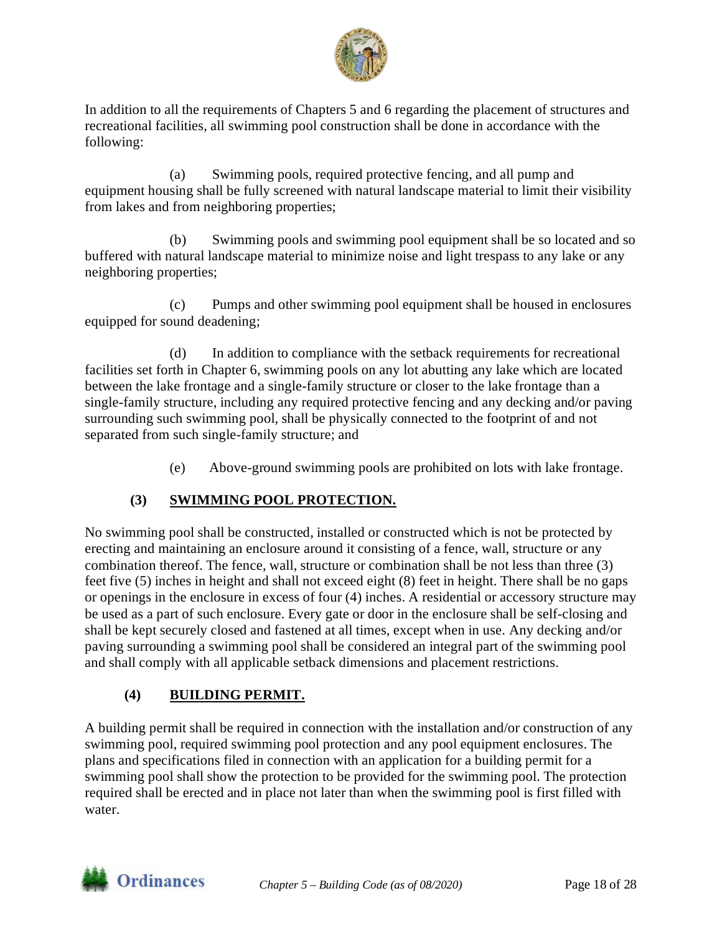

In addition to all the requirements of Chapters 5 and 6 regarding the placement of structures and recreational facilities, all swimming pool construction shall be done in accordance with the following:

(a) Swimming pools, required protective fencing, and all pump and equipment housing shall be fully screened with natural landscape material to limit their visibility from lakes and from neighboring properties;

(b) Swimming pools and swimming pool equipment shall be so located and so buffered with natural landscape material to minimize noise and light trespass to any lake or any neighboring properties;

(c) Pumps and other swimming pool equipment shall be housed in enclosures equipped for sound deadening;

(d) In addition to compliance with the setback requirements for recreational facilities set forth in Chapter 6, swimming pools on any lot abutting any lake which are located between the lake frontage and a single-family structure or closer to the lake frontage than a single-family structure, including any required protective fencing and any decking and/or paving surrounding such swimming pool, shall be physically connected to the footprint of and not separated from such single-family structure; and

(e) Above-ground swimming pools are prohibited on lots with lake frontage.

## **(3) SWIMMING POOL PROTECTION.**

No swimming pool shall be constructed, installed or constructed which is not be protected by erecting and maintaining an enclosure around it consisting of a fence, wall, structure or any combination thereof. The fence, wall, structure or combination shall be not less than three (3) feet five (5) inches in height and shall not exceed eight (8) feet in height. There shall be no gaps or openings in the enclosure in excess of four (4) inches. A residential or accessory structure may be used as a part of such enclosure. Every gate or door in the enclosure shall be self-closing and shall be kept securely closed and fastened at all times, except when in use. Any decking and/or paving surrounding a swimming pool shall be considered an integral part of the swimming pool and shall comply with all applicable setback dimensions and placement restrictions.

#### **(4) BUILDING PERMIT.**

A building permit shall be required in connection with the installation and/or construction of any swimming pool, required swimming pool protection and any pool equipment enclosures. The plans and specifications filed in connection with an application for a building permit for a swimming pool shall show the protection to be provided for the swimming pool. The protection required shall be erected and in place not later than when the swimming pool is first filled with water.

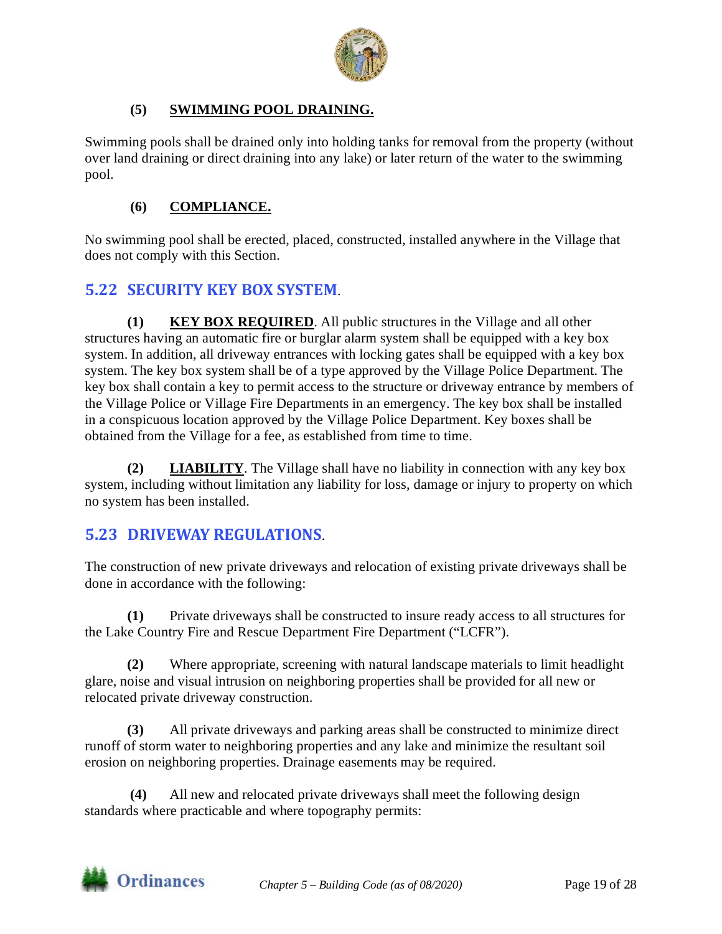

#### **(5) SWIMMING POOL DRAINING.**

Swimming pools shall be drained only into holding tanks for removal from the property (without over land draining or direct draining into any lake) or later return of the water to the swimming pool.

#### **(6) COMPLIANCE.**

No swimming pool shall be erected, placed, constructed, installed anywhere in the Village that does not comply with this Section.

## <span id="page-18-0"></span>**5.22 SECURITY KEY BOX SYSTEM**.

**(1) KEY BOX REQUIRED**. All public structures in the Village and all other structures having an automatic fire or burglar alarm system shall be equipped with a key box system. In addition, all driveway entrances with locking gates shall be equipped with a key box system. The key box system shall be of a type approved by the Village Police Department. The key box shall contain a key to permit access to the structure or driveway entrance by members of the Village Police or Village Fire Departments in an emergency. The key box shall be installed in a conspicuous location approved by the Village Police Department. Key boxes shall be obtained from the Village for a fee, as established from time to time.

**(2) LIABILITY**. The Village shall have no liability in connection with any key box system, including without limitation any liability for loss, damage or injury to property on which no system has been installed.

#### <span id="page-18-1"></span>**5.23 DRIVEWAY REGULATIONS**.

The construction of new private driveways and relocation of existing private driveways shall be done in accordance with the following:

**(1)** Private driveways shall be constructed to insure ready access to all structures for the Lake Country Fire and Rescue Department Fire Department ("LCFR").

**(2)** Where appropriate, screening with natural landscape materials to limit headlight glare, noise and visual intrusion on neighboring properties shall be provided for all new or relocated private driveway construction.

**(3)** All private driveways and parking areas shall be constructed to minimize direct runoff of storm water to neighboring properties and any lake and minimize the resultant soil erosion on neighboring properties. Drainage easements may be required.

**(4)** All new and relocated private driveways shall meet the following design standards where practicable and where topography permits:

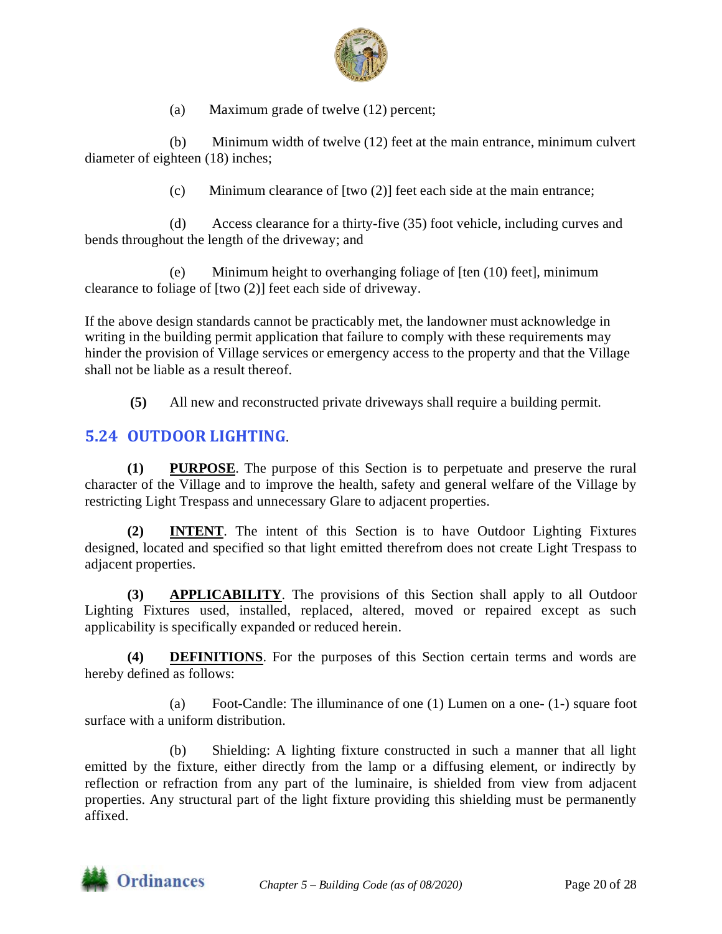

(a) Maximum grade of twelve (12) percent;

(b) Minimum width of twelve (12) feet at the main entrance, minimum culvert diameter of eighteen (18) inches;

(c) Minimum clearance of [two (2)] feet each side at the main entrance;

(d) Access clearance for a thirty-five (35) foot vehicle, including curves and bends throughout the length of the driveway; and

(e) Minimum height to overhanging foliage of [ten (10) feet], minimum clearance to foliage of [two (2)] feet each side of driveway.

If the above design standards cannot be practicably met, the landowner must acknowledge in writing in the building permit application that failure to comply with these requirements may hinder the provision of Village services or emergency access to the property and that the Village shall not be liable as a result thereof.

**(5)** All new and reconstructed private driveways shall require a building permit.

## <span id="page-19-0"></span>**5.24 OUTDOOR LIGHTING**.

**(1) PURPOSE**. The purpose of this Section is to perpetuate and preserve the rural character of the Village and to improve the health, safety and general welfare of the Village by restricting Light Trespass and unnecessary Glare to adjacent properties.

**(2) INTENT**. The intent of this Section is to have Outdoor Lighting Fixtures designed, located and specified so that light emitted therefrom does not create Light Trespass to adjacent properties.

**(3) APPLICABILITY**. The provisions of this Section shall apply to all Outdoor Lighting Fixtures used, installed, replaced, altered, moved or repaired except as such applicability is specifically expanded or reduced herein.

**(4) DEFINITIONS**. For the purposes of this Section certain terms and words are hereby defined as follows:

(a) Foot-Candle: The illuminance of one (1) Lumen on a one- (1-) square foot surface with a uniform distribution.

(b) Shielding: A lighting fixture constructed in such a manner that all light emitted by the fixture, either directly from the lamp or a diffusing element, or indirectly by reflection or refraction from any part of the luminaire, is shielded from view from adjacent properties. Any structural part of the light fixture providing this shielding must be permanently affixed.

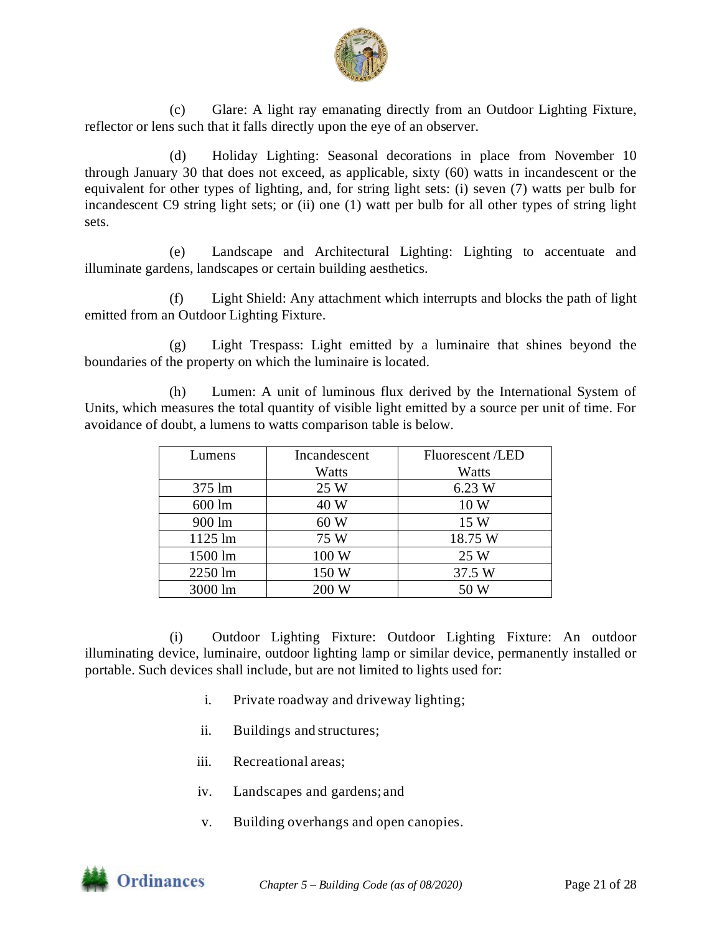

(c) Glare: A light ray emanating directly from an Outdoor Lighting Fixture, reflector or lens such that it falls directly upon the eye of an observer.

(d) Holiday Lighting: Seasonal decorations in place from November 10 through January 30 that does not exceed, as applicable, sixty (60) watts in incandescent or the equivalent for other types of lighting, and, for string light sets: (i) seven (7) watts per bulb for incandescent C9 string light sets; or (ii) one (1) watt per bulb for all other types of string light sets.

(e) Landscape and Architectural Lighting: Lighting to accentuate and illuminate gardens, landscapes or certain building aesthetics.

(f) Light Shield: Any attachment which interrupts and blocks the path of light emitted from an Outdoor Lighting Fixture.

(g) Light Trespass: Light emitted by a luminaire that shines beyond the boundaries of the property on which the luminaire is located.

(h) Lumen: A unit of luminous flux derived by the International System of Units, which measures the total quantity of visible light emitted by a source per unit of time. For avoidance of doubt, a lumens to watts comparison table is below.

| Lumens            | Incandescent | <b>Fluorescent</b> / <b>LED</b> |
|-------------------|--------------|---------------------------------|
|                   | Watts        | Watts                           |
| $375 \text{ lm}$  | 25 W         | 6.23 W                          |
| 600 lm            | 40 W         | 10 W                            |
| 900 lm            | 60W          | 15 W                            |
| $1125 \text{ lm}$ | 75 W         | 18.75 W                         |
| 1500 lm           | 100 W        | 25 W                            |
| 2250 lm           | 150 W        | 37.5 W                          |
| 3000 lm           | 200 W        | 50 W                            |

(i) Outdoor Lighting Fixture: Outdoor Lighting Fixture: An outdoor illuminating device, luminaire, outdoor lighting lamp or similar device, permanently installed or portable. Such devices shall include, but are not limited to lights used for:

- i. Private roadway and driveway lighting;
- ii. Buildings and structures;
- iii. Recreational areas;
- iv. Landscapes and gardens; and
- v. Building overhangs and open canopies.

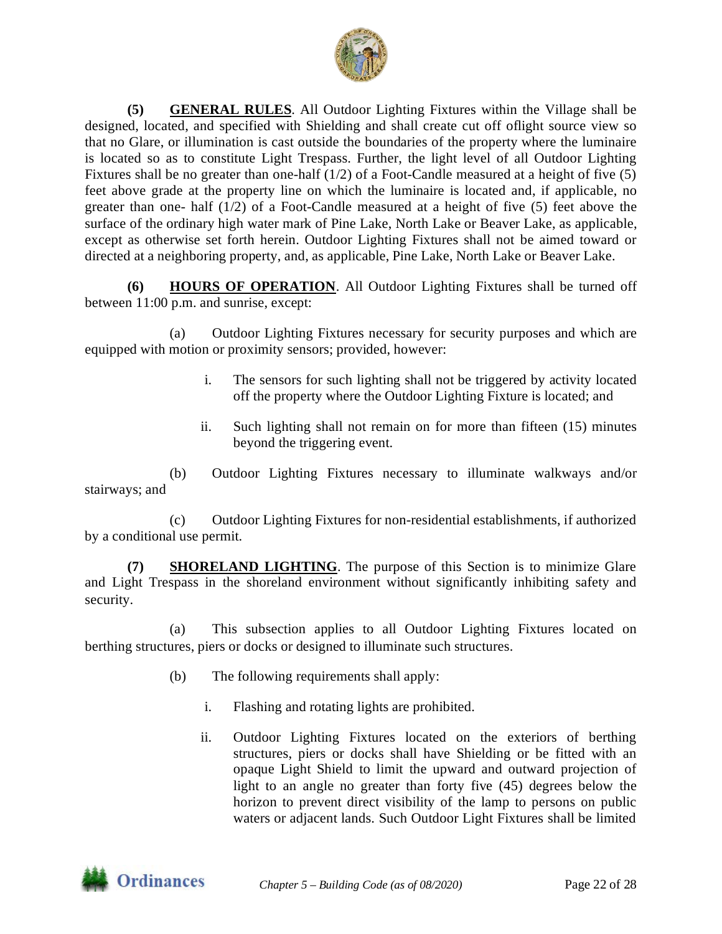

**(5) GENERAL RULES**. All Outdoor Lighting Fixtures within the Village shall be designed, located, and specified with Shielding and shall create cut off oflight source view so that no Glare, or illumination is cast outside the boundaries of the property where the luminaire is located so as to constitute Light Trespass. Further, the light level of all Outdoor Lighting Fixtures shall be no greater than one-half (1/2) of a Foot-Candle measured at a height of five (5) feet above grade at the property line on which the luminaire is located and, if applicable, no greater than one- half (1/2) of a Foot-Candle measured at a height of five (5) feet above the surface of the ordinary high water mark of Pine Lake, North Lake or Beaver Lake, as applicable, except as otherwise set forth herein. Outdoor Lighting Fixtures shall not be aimed toward or directed at a neighboring property, and, as applicable, Pine Lake, North Lake or Beaver Lake.

**(6) HOURS OF OPERATION**. All Outdoor Lighting Fixtures shall be turned off between 11:00 p.m. and sunrise, except:

(a) Outdoor Lighting Fixtures necessary for security purposes and which are equipped with motion or proximity sensors; provided, however:

- i. The sensors for such lighting shall not be triggered by activity located off the property where the Outdoor Lighting Fixture is located; and
- ii. Such lighting shall not remain on for more than fifteen (15) minutes beyond the triggering event.

(b) Outdoor Lighting Fixtures necessary to illuminate walkways and/or stairways; and

(c) Outdoor Lighting Fixtures for non-residential establishments, if authorized by a conditional use permit.

**(7) SHORELAND LIGHTING**. The purpose of this Section is to minimize Glare and Light Trespass in the shoreland environment without significantly inhibiting safety and security.

(a) This subsection applies to all Outdoor Lighting Fixtures located on berthing structures, piers or docks or designed to illuminate such structures.

- (b) The following requirements shall apply:
	- i. Flashing and rotating lights are prohibited.
	- ii. Outdoor Lighting Fixtures located on the exteriors of berthing structures, piers or docks shall have Shielding or be fitted with an opaque Light Shield to limit the upward and outward projection of light to an angle no greater than forty five (45) degrees below the horizon to prevent direct visibility of the lamp to persons on public waters or adjacent lands. Such Outdoor Light Fixtures shall be limited

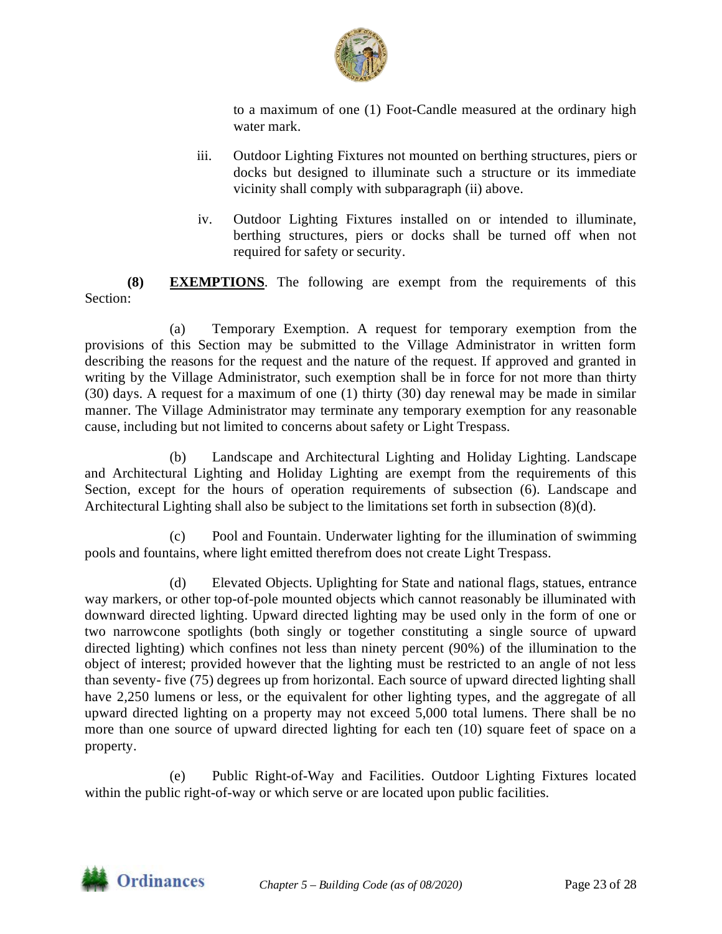

to a maximum of one (1) Foot-Candle measured at the ordinary high water mark.

- iii. Outdoor Lighting Fixtures not mounted on berthing structures, piers or docks but designed to illuminate such a structure or its immediate vicinity shall comply with subparagraph (ii) above.
- iv. Outdoor Lighting Fixtures installed on or intended to illuminate, berthing structures, piers or docks shall be turned off when not required for safety or security.

**(8) EXEMPTIONS**. The following are exempt from the requirements of this Section:

(a) Temporary Exemption. A request for temporary exemption from the provisions of this Section may be submitted to the Village Administrator in written form describing the reasons for the request and the nature of the request. If approved and granted in writing by the Village Administrator, such exemption shall be in force for not more than thirty (30) days. A request for a maximum of one (1) thirty (30) day renewal may be made in similar manner. The Village Administrator may terminate any temporary exemption for any reasonable cause, including but not limited to concerns about safety or Light Trespass.

(b) Landscape and Architectural Lighting and Holiday Lighting. Landscape and Architectural Lighting and Holiday Lighting are exempt from the requirements of this Section, except for the hours of operation requirements of subsection (6). Landscape and Architectural Lighting shall also be subject to the limitations set forth in subsection (8)(d).

(c) Pool and Fountain. Underwater lighting for the illumination of swimming pools and fountains, where light emitted therefrom does not create Light Trespass.

(d) Elevated Objects. Uplighting for State and national flags, statues, entrance way markers, or other top-of-pole mounted objects which cannot reasonably be illuminated with downward directed lighting. Upward directed lighting may be used only in the form of one or two narrowcone spotlights (both singly or together constituting a single source of upward directed lighting) which confines not less than ninety percent (90%) of the illumination to the object of interest; provided however that the lighting must be restricted to an angle of not less than seventy- five (75) degrees up from horizontal. Each source of upward directed lighting shall have 2,250 lumens or less, or the equivalent for other lighting types, and the aggregate of all upward directed lighting on a property may not exceed 5,000 total lumens. There shall be no more than one source of upward directed lighting for each ten (10) square feet of space on a property.

(e) Public Right-of-Way and Facilities. Outdoor Lighting Fixtures located within the public right-of-way or which serve or are located upon public facilities.

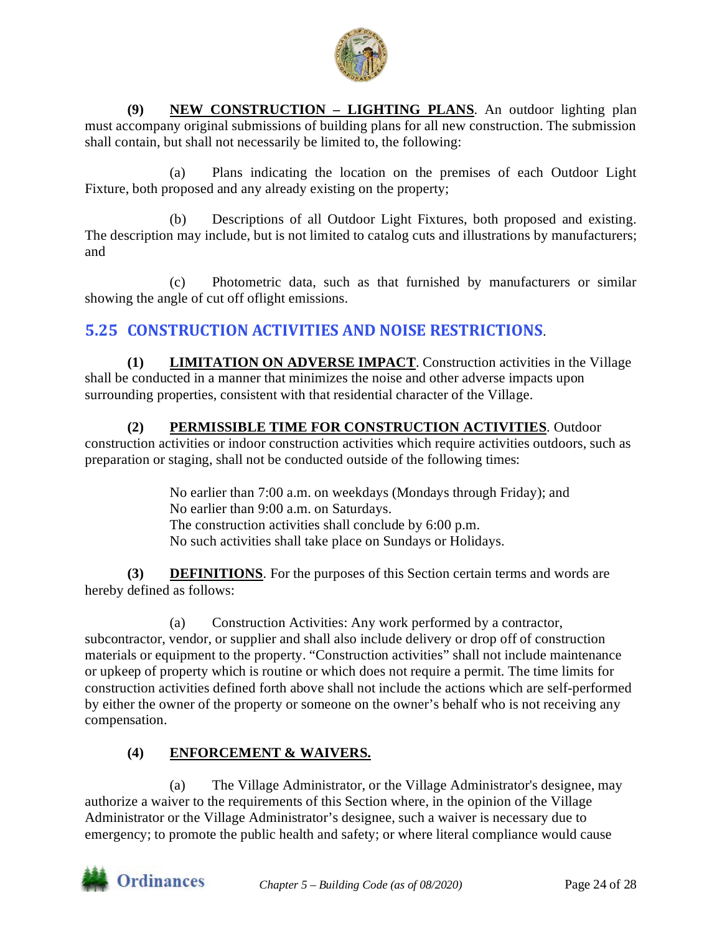

**(9) NEW CONSTRUCTION – LIGHTING PLANS**. An outdoor lighting plan must accompany original submissions of building plans for all new construction. The submission shall contain, but shall not necessarily be limited to, the following:

(a) Plans indicating the location on the premises of each Outdoor Light Fixture, both proposed and any already existing on the property;

(b) Descriptions of all Outdoor Light Fixtures, both proposed and existing. The description may include, but is not limited to catalog cuts and illustrations by manufacturers; and

(c) Photometric data, such as that furnished by manufacturers or similar showing the angle of cut off oflight emissions.

## <span id="page-23-0"></span>**5.25 CONSTRUCTION ACTIVITIES AND NOISE RESTRICTIONS**.

**(1) LIMITATION ON ADVERSE IMPACT**. Construction activities in the Village shall be conducted in a manner that minimizes the noise and other adverse impacts upon surrounding properties, consistent with that residential character of the Village.

**(2) PERMISSIBLE TIME FOR CONSTRUCTION ACTIVITIES**. Outdoor construction activities or indoor construction activities which require activities outdoors, such as preparation or staging, shall not be conducted outside of the following times:

> No earlier than 7:00 a.m. on weekdays (Mondays through Friday); and No earlier than 9:00 a.m. on Saturdays. The construction activities shall conclude by 6:00 p.m. No such activities shall take place on Sundays or Holidays.

**(3) DEFINITIONS**. For the purposes of this Section certain terms and words are hereby defined as follows:

(a) Construction Activities: Any work performed by a contractor, subcontractor, vendor, or supplier and shall also include delivery or drop off of construction materials or equipment to the property. "Construction activities" shall not include maintenance or upkeep of property which is routine or which does not require a permit. The time limits for construction activities defined forth above shall not include the actions which are self-performed by either the owner of the property or someone on the owner's behalf who is not receiving any compensation.

## **(4) ENFORCEMENT & WAIVERS.**

(a) The Village Administrator, or the Village Administrator's designee, may authorize a waiver to the requirements of this Section where, in the opinion of the Village Administrator or the Village Administrator's designee, such a waiver is necessary due to emergency; to promote the public health and safety; or where literal compliance would cause

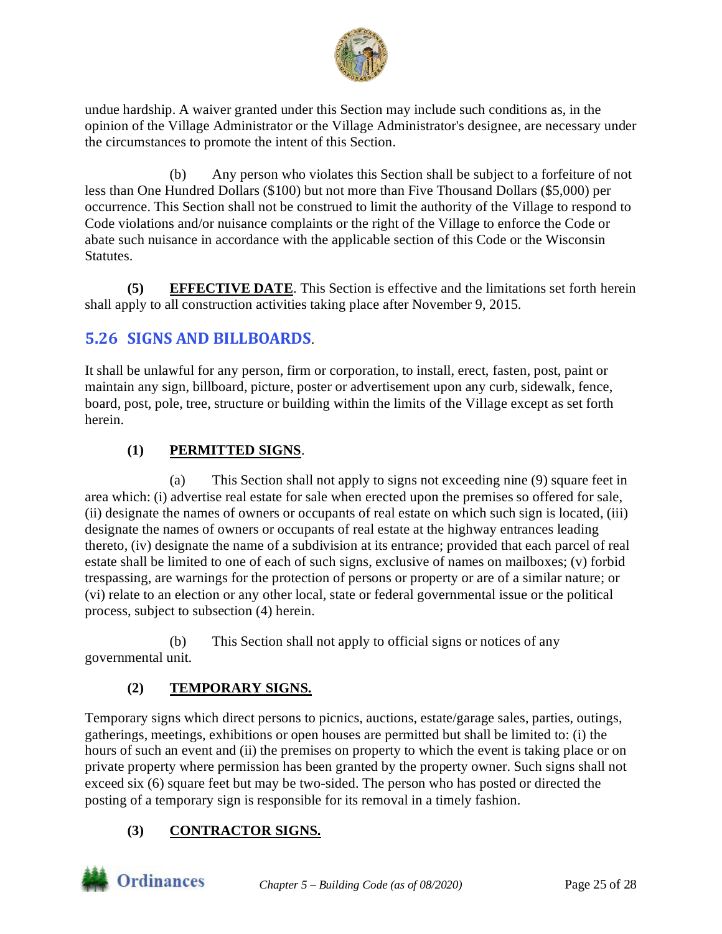

undue hardship. A waiver granted under this Section may include such conditions as, in the opinion of the Village Administrator or the Village Administrator's designee, are necessary under the circumstances to promote the intent of this Section.

(b) Any person who violates this Section shall be subject to a forfeiture of not less than One Hundred Dollars (\$100) but not more than Five Thousand Dollars (\$5,000) per occurrence. This Section shall not be construed to limit the authority of the Village to respond to Code violations and/or nuisance complaints or the right of the Village to enforce the Code or abate such nuisance in accordance with the applicable section of this Code or the Wisconsin **Statutes.** 

**(5) EFFECTIVE DATE**. This Section is effective and the limitations set forth herein shall apply to all construction activities taking place after November 9, 2015.

# <span id="page-24-0"></span>**5.26 SIGNS AND BILLBOARDS**.

It shall be unlawful for any person, firm or corporation, to install, erect, fasten, post, paint or maintain any sign, billboard, picture, poster or advertisement upon any curb, sidewalk, fence, board, post, pole, tree, structure or building within the limits of the Village except as set forth herein.

### **(1) PERMITTED SIGNS**.

(a) This Section shall not apply to signs not exceeding nine (9) square feet in area which: (i) advertise real estate for sale when erected upon the premises so offered for sale, (ii) designate the names of owners or occupants of real estate on which such sign is located, (iii) designate the names of owners or occupants of real estate at the highway entrances leading thereto, (iv) designate the name of a subdivision at its entrance; provided that each parcel of real estate shall be limited to one of each of such signs, exclusive of names on mailboxes; (v) forbid trespassing, are warnings for the protection of persons or property or are of a similar nature; or (vi) relate to an election or any other local, state or federal governmental issue or the political process, subject to subsection (4) herein.

(b) This Section shall not apply to official signs or notices of any governmental unit.

## **(2) TEMPORARY SIGNS.**

Temporary signs which direct persons to picnics, auctions, estate/garage sales, parties, outings, gatherings, meetings, exhibitions or open houses are permitted but shall be limited to: (i) the hours of such an event and (ii) the premises on property to which the event is taking place or on private property where permission has been granted by the property owner. Such signs shall not exceed six (6) square feet but may be two-sided. The person who has posted or directed the posting of a temporary sign is responsible for its removal in a timely fashion.

#### **(3) CONTRACTOR SIGNS.**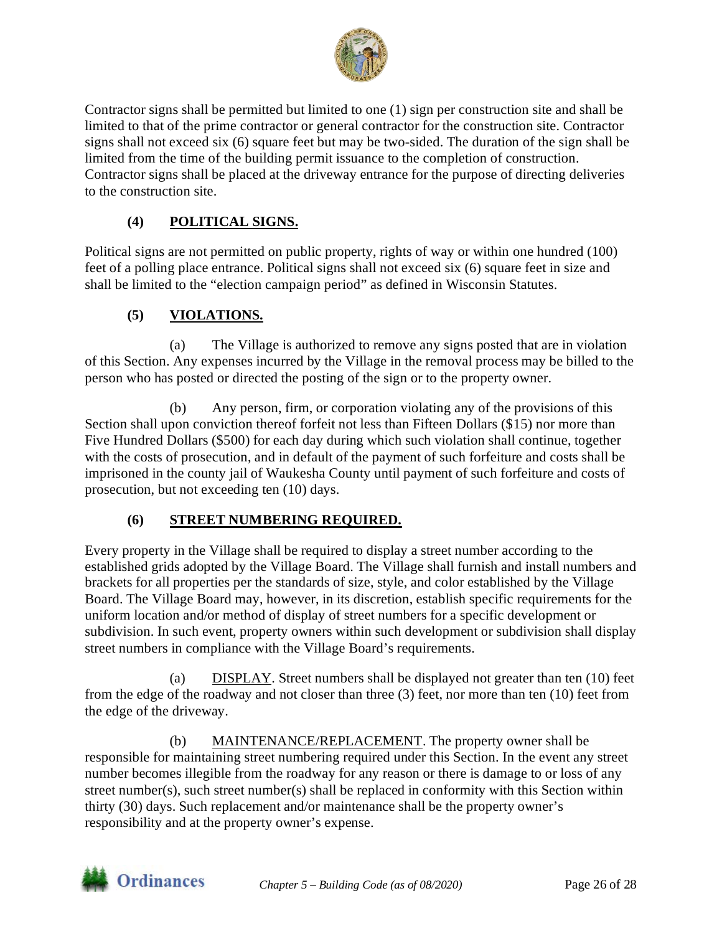

Contractor signs shall be permitted but limited to one (1) sign per construction site and shall be limited to that of the prime contractor or general contractor for the construction site. Contractor signs shall not exceed six (6) square feet but may be two-sided. The duration of the sign shall be limited from the time of the building permit issuance to the completion of construction. Contractor signs shall be placed at the driveway entrance for the purpose of directing deliveries to the construction site.

#### **(4) POLITICAL SIGNS.**

Political signs are not permitted on public property, rights of way or within one hundred (100) feet of a polling place entrance. Political signs shall not exceed six (6) square feet in size and shall be limited to the "election campaign period" as defined in Wisconsin Statutes.

#### **(5) VIOLATIONS.**

(a) The Village is authorized to remove any signs posted that are in violation of this Section. Any expenses incurred by the Village in the removal process may be billed to the person who has posted or directed the posting of the sign or to the property owner.

(b) Any person, firm, or corporation violating any of the provisions of this Section shall upon conviction thereof forfeit not less than Fifteen Dollars (\$15) nor more than Five Hundred Dollars (\$500) for each day during which such violation shall continue, together with the costs of prosecution, and in default of the payment of such forfeiture and costs shall be imprisoned in the county jail of Waukesha County until payment of such forfeiture and costs of prosecution, but not exceeding ten (10) days.

#### **(6) STREET NUMBERING REQUIRED.**

Every property in the Village shall be required to display a street number according to the established grids adopted by the Village Board. The Village shall furnish and install numbers and brackets for all properties per the standards of size, style, and color established by the Village Board. The Village Board may, however, in its discretion, establish specific requirements for the uniform location and/or method of display of street numbers for a specific development or subdivision. In such event, property owners within such development or subdivision shall display street numbers in compliance with the Village Board's requirements.

(a) DISPLAY. Street numbers shall be displayed not greater than ten (10) feet from the edge of the roadway and not closer than three (3) feet, nor more than ten (10) feet from the edge of the driveway.

(b) MAINTENANCE/REPLACEMENT. The property owner shall be responsible for maintaining street numbering required under this Section. In the event any street number becomes illegible from the roadway for any reason or there is damage to or loss of any street number(s), such street number(s) shall be replaced in conformity with this Section within thirty (30) days. Such replacement and/or maintenance shall be the property owner's responsibility and at the property owner's expense.

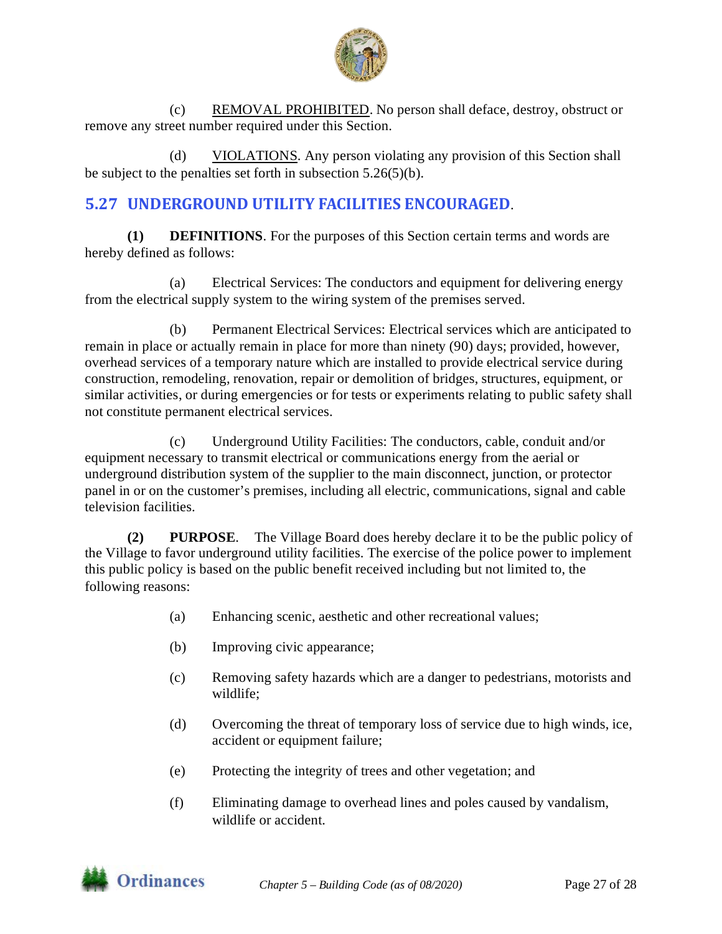

(c) REMOVAL PROHIBITED. No person shall deface, destroy, obstruct or remove any street number required under this Section.

(d) VIOLATIONS. Any person violating any provision of this Section shall be subject to the penalties set forth in subsection 5.26(5)(b).

# <span id="page-26-0"></span>**5.27 UNDERGROUND UTILITY FACILITIES ENCOURAGED**.

**(1) DEFINITIONS**. For the purposes of this Section certain terms and words are hereby defined as follows:

(a) Electrical Services: The conductors and equipment for delivering energy from the electrical supply system to the wiring system of the premises served.

(b) Permanent Electrical Services: Electrical services which are anticipated to remain in place or actually remain in place for more than ninety (90) days; provided, however, overhead services of a temporary nature which are installed to provide electrical service during construction, remodeling, renovation, repair or demolition of bridges, structures, equipment, or similar activities, or during emergencies or for tests or experiments relating to public safety shall not constitute permanent electrical services.

(c) Underground Utility Facilities: The conductors, cable, conduit and/or equipment necessary to transmit electrical or communications energy from the aerial or underground distribution system of the supplier to the main disconnect, junction, or protector panel in or on the customer's premises, including all electric, communications, signal and cable television facilities.

**(2) PURPOSE**. The Village Board does hereby declare it to be the public policy of the Village to favor underground utility facilities. The exercise of the police power to implement this public policy is based on the public benefit received including but not limited to, the following reasons:

- (a) Enhancing scenic, aesthetic and other recreational values;
- (b) Improving civic appearance;
- (c) Removing safety hazards which are a danger to pedestrians, motorists and wildlife;
- (d) Overcoming the threat of temporary loss of service due to high winds, ice, accident or equipment failure;
- (e) Protecting the integrity of trees and other vegetation; and
- (f) Eliminating damage to overhead lines and poles caused by vandalism, wildlife or accident.